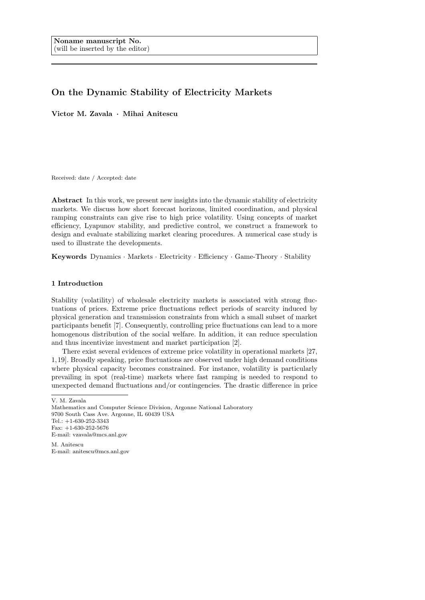# On the Dynamic Stability of Electricity Markets

Victor M. Zavala · Mihai Anitescu

Received: date / Accepted: date

Abstract In this work, we present new insights into the dynamic stability of electricity markets. We discuss how short forecast horizons, limited coordination, and physical ramping constraints can give rise to high price volatility. Using concepts of market efficiency, Lyapunov stability, and predictive control, we construct a framework to design and evaluate stabilizing market clearing procedures. A numerical case study is used to illustrate the developments.

Keywords Dynamics · Markets · Electricity · Efficiency · Game-Theory · Stability

# 1 Introduction

Stability (volatility) of wholesale electricity markets is associated with strong fluctuations of prices. Extreme price fluctuations reflect periods of scarcity induced by physical generation and transmission constraints from which a small subset of market participants benefit [7]. Consequently, controlling price fluctuations can lead to a more homogenous distribution of the social welfare. In addition, it can reduce speculation and thus incentivize investment and market participation [2].

There exist several evidences of extreme price volatility in operational markets [27, 1, 19]. Broadly speaking, price fluctuations are observed under high demand conditions where physical capacity becomes constrained. For instance, volatility is particularly prevailing in spot (real-time) markets where fast ramping is needed to respond to unexpected demand fluctuations and/or contingencies. The drastic difference in price

M. Anitescu E-mail: anitescu@mcs.anl.gov

V. M. Zavala

Mathematics and Computer Science Division, Argonne National Laboratory 9700 South Cass Ave. Argonne, IL 60439 USA Tel.: +1-630-252-3343 Fax: +1-630-252-5676 E-mail: vzavala@mcs.anl.gov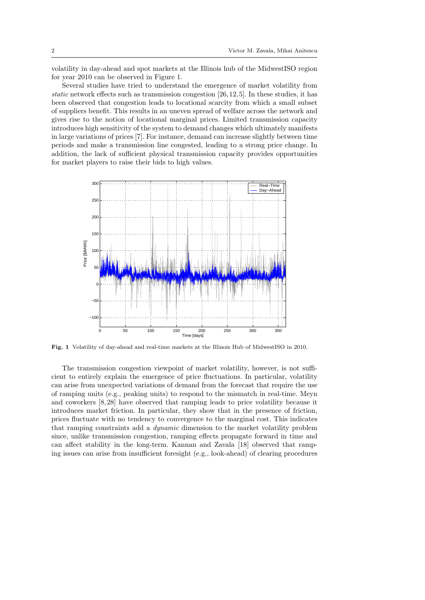volatility in day-ahead and spot markets at the Illinois hub of the MidwestISO region for year 2010 can be observed in Figure 1.

Several studies have tried to understand the emergence of market volatility from static network effects such as transmission congestion  $[26, 12, 5]$ . In these studies, it has been observed that congestion leads to locational scarcity from which a small subset of suppliers benefit. This results in an uneven spread of welfare across the network and gives rise to the notion of locational marginal prices. Limited transmission capacity introduces high sensitivity of the system to demand changes which ultimately manifests in large variations of prices [7]. For instance, demand can increase slightly between time periods and make a transmission line congested, leading to a strong price change. In addition, the lack of sufficient physical transmission capacity provides opportunities for market players to raise their bids to high values.



Fig. 1 Volatility of day-ahead and real-time markets at the Illinois Hub of MidwestISO in 2010.

The transmission congestion viewpoint of market volatility, however, is not sufficient to entirely explain the emergence of price fluctuations. In particular, volatility can arise from unexpected variations of demand from the forecast that require the use of ramping units (e.g., peaking units) to respond to the mismatch in real-time. Meyn and coworkers [8, 28] have observed that ramping leads to price volatility because it introduces market friction. In particular, they show that in the presence of friction, prices fluctuate with no tendency to convergence to the marginal cost. This indicates that ramping constraints add a dynamic dimension to the market volatility problem since, unlike transmission congestion, ramping effects propagate forward in time and can affect stability in the long-term. Kannan and Zavala [18] observed that ramping issues can arise from insufficient foresight (e.g., look-ahead) of clearing procedures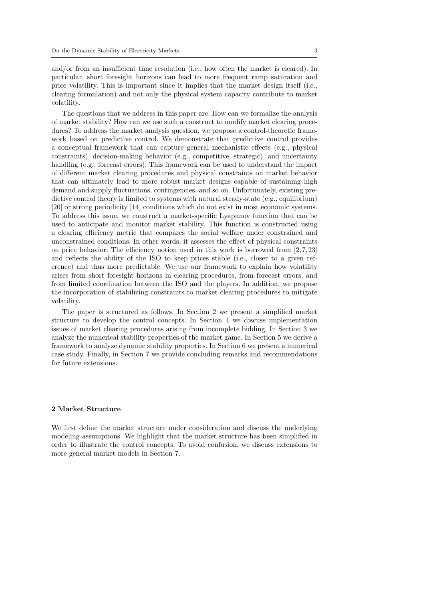and/or from an insufficient time resolution (i.e., how often the market is cleared). In particular, short foresight horizons can lead to more frequent ramp saturation and price volatility. This is important since it implies that the market design itself (i.e., clearing formulation) and not only the physical system capacity contribute to market volatility.

The questions that we address in this paper are: How can we formalize the analysis of market stability? How can we use such a construct to modify market clearing procedures? To address the market analysis question, we propose a control-theoretic framework based on predictive control. We demonstrate that predictive control provides a conceptual framework that can capture general mechanistic effects (e.g., physical constraints), decision-making behavior (e.g., competitive, strategic), and uncertainty handling (e.g., forecast errors). This framework can be used to understand the impact of different market clearing procedures and physical constraints on market behavior that can ultimately lead to more robust market designs capable of sustaining high demand and supply fluctuations, contingencies, and so on. Unfortunately, existing predictive control theory is limited to systems with natural steady-state (e.g., equilibrium) [20] or strong periodicity [14] conditions which do not exist in most economic systems. To address this issue, we construct a market-specific Lyapunov function that can be used to anticipate and monitor market stability. This function is constructed using a clearing efficiency metric that compares the social welfare under constrained and unconstrained conditions. In other words, it assesses the effect of physical constraints on price behavior. The efficiency notion used in this work is borrowed from  $[2, 7, 23]$ and reflects the ability of the ISO to keep prices stable (i.e., closer to a given reference) and thus more predictable. We use our framework to explain how volatility arises from short foresight horizons in clearing procedures, from forecast errors, and from limited coordination between the ISO and the players. In addition, we propose the incorporation of stabilizing constraints to market clearing procedures to mitigate volatility.

The paper is structured as follows. In Section 2 we present a simplified market structure to develop the control concepts. In Section 4 we discuss implementation issues of market clearing procedures arising from incomplete bidding. In Section 3 we analyze the numerical stability properties of the market game. In Section 5 we derive a framework to analyze dynamic stability properties. In Section 6 we present a numerical case study. Finally, in Section 7 we provide concluding remarks and recommendations for future extensions.

# 2 Market Structure

We first define the market structure under consideration and discuss the underlying modeling assumptions. We highlight that the market structure has been simplified in order to illustrate the control concepts. To avoid confusion, we discuss extensions to more general market models in Section 7.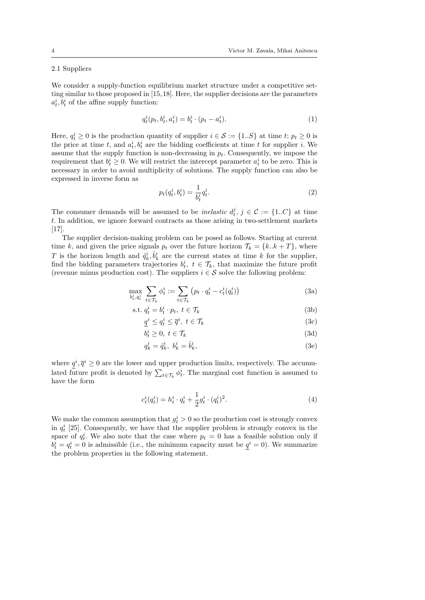# 2.1 Suppliers

We consider a supply-function equilibrium market structure under a competitive setting similar to those proposed in [15, 18]. Here, the supplier decisions are the parameters  $a_t^i, b_t^i$  of the affine supply function:

$$
q_t^i(p_t, b_t^i, a_t^i) = b_t^i \cdot (p_t - a_t^i). \tag{1}
$$

Here,  $q_t^i \geq 0$  is the production quantity of supplier  $i \in \mathcal{S} := \{1..S\}$  at time  $t; p_t \geq 0$  is the price at time t, and  $a_t^i, b_t^i$  are the bidding coefficients at time t for supplier i. We assume that the supply function is non-decreasing in  $p_t$ . Consequently, we impose the requirement that  $b_t^i \geq 0$ . We will restrict the intercept parameter  $a_t^i$  to be zero. This is necessary in order to avoid multiplicity of solutions. The supply function can also be expressed in inverse form as

$$
p_t(q_t^i, b_t^i) = \frac{1}{b_t^i} q_t^i.
$$
\n<sup>(2)</sup>

The consumer demands will be assumed to be *inelastic*  $d_t^j$ ,  $j \in \mathcal{C} := \{1..C\}$  at time t. In addition, we ignore forward contracts as those arising in two-settlement markets [17].

The supplier decision-making problem can be posed as follows. Starting at current time k, and given the price signals  $p_t$  over the future horizon  $\mathcal{T}_k = \{k..k + T\}$ , where T is the horizon length and  $\hat{q}_k^i, \hat{b}_k^i$  are the current states at time k for the supplier, find the bidding parameters trajectories  $b_t^i$ ,  $t \in \mathcal{T}_k$ , that maximize the future profit (revenue minus production cost). The suppliers  $i \in \mathcal{S}$  solve the following problem:

 $\mathbf s$ 

$$
\max_{b_t^i, q_t^i} \sum_{t \in \mathcal{T}_k} \phi_t^i := \sum_{t \in \mathcal{T}_k} \left( p_t \cdot q_t^i - c_t^i(q_t^i) \right) \tag{3a}
$$

$$
\text{t. } q_t^i = b_t^i \cdot p_t, \ t \in \mathcal{T}_k \tag{3b}
$$

$$
\underline{q}^i \le q^i_t \le \overline{q}^i, \ t \in \mathcal{T}_k \tag{3c}
$$

$$
b_t^i \ge 0, \ t \in \mathcal{T}_k \tag{3d}
$$

$$
q_k^i = \hat{q}_k^i, \ b_k^i = \hat{b}_k^i,\tag{3e}
$$

where  $q^i, \overline{q}^i \geq 0$  are the lower and upper production limits, respectively. The accumulated future profit is denoted by  $\sum_{t \in \mathcal{T}_k} \phi_t^i$ . The marginal cost function is assumed to have the form

$$
c_t^i(q_t^i) = h_t^i \cdot q_t^i + \frac{1}{2} g_t^i \cdot (q_t^i)^2.
$$
 (4)

We make the common assumption that  $g_t^i > 0$  so the production cost is strongly convex in  $q_t^i$  [25]. Consequently, we have that the supplier problem is strongly convex in the space of  $q_t^i$ . We also note that the case where  $p_t = 0$  has a feasible solution only if  $b_t^i = q_t^i = 0$  is admissible (i.e., the minimum capacity must be  $\underline{q}^i = 0$ ). We summarize the problem properties in the following statement.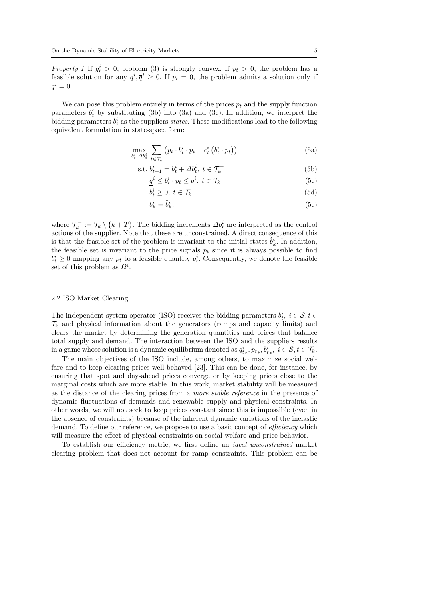*Property 1* If  $g_t^i > 0$ , problem (3) is strongly convex. If  $p_t > 0$ , the problem has a feasible solution for any  $q^i, \overline{q}^i \geq 0$ . If  $p_t = 0$ , the problem admits a solution only if  $q^i=0.$ 

We can pose this problem entirely in terms of the prices  $p_t$  and the supply function parameters  $b_t^i$  by substituting (3b) into (3a) and (3c). In addition, we interpret the bidding parameters  $b_t^i$  as the suppliers *states*. These modifications lead to the following equivalent formulation in state-space form:

$$
\max_{b_t^i, \Delta b_t^i} \sum_{t \in \mathcal{T}_k} \left( p_t \cdot b_t^i \cdot p_t - c_t^i \left( b_t^i \cdot p_t \right) \right) \tag{5a}
$$

$$
\text{s.t. } b_{t+1}^i = b_t^i + \Delta b_t^i, \ t \in \mathcal{T}_k^- \tag{5b}
$$

$$
\underline{q}^i \le b_t^i \cdot p_t \le \overline{q}^i, \ t \in \mathcal{T}_k \tag{5c}
$$

$$
b_t^i \ge 0, \ t \in \mathcal{T}_k \tag{5d}
$$

$$
b_k^i = \hat{b}_k^i,\tag{5e}
$$

where  $\mathcal{T}_k^- := \mathcal{T}_k \setminus \{k+T\}$ . The bidding increments  $\Delta b_t^i$  are interpreted as the control actions of the supplier. Note that these are unconstrained. A direct consequence of this is that the feasible set of the problem is invariant to the initial states  $\hat{b}_k^i$ . In addition, the feasible set is invariant to the price signals  $p_t$  since it is always possible to find  $b_t^i \geq 0$  mapping any  $p_t$  to a feasible quantity  $q_t^i$ . Consequently, we denote the feasible set of this problem as  $\Omega^i$ .

#### 2.2 ISO Market Clearing

The independent system operator (ISO) receives the bidding parameters  $b_t^i$ ,  $i \in \mathcal{S}, t \in$  $\mathcal{T}_k$  and physical information about the generators (ramps and capacity limits) and clears the market by determining the generation quantities and prices that balance total supply and demand. The interaction between the ISO and the suppliers results in a game whose solution is a dynamic equilibrium denoted as  $q_{t*}^i, p_{t*}, b_{t*}^i, i \in \mathcal{S}, t \in \mathcal{T}_k$ .

The main objectives of the ISO include, among others, to maximize social welfare and to keep clearing prices well-behaved [23]. This can be done, for instance, by ensuring that spot and day-ahead prices converge or by keeping prices close to the marginal costs which are more stable. In this work, market stability will be measured as the distance of the clearing prices from a more stable reference in the presence of dynamic fluctuations of demands and renewable supply and physical constraints. In other words, we will not seek to keep prices constant since this is impossible (even in the absence of constraints) because of the inherent dynamic variations of the inelastic demand. To define our reference, we propose to use a basic concept of *efficiency* which will measure the effect of physical constraints on social welfare and price behavior.

To establish our efficiency metric, we first define an ideal unconstrained market clearing problem that does not account for ramp constraints. This problem can be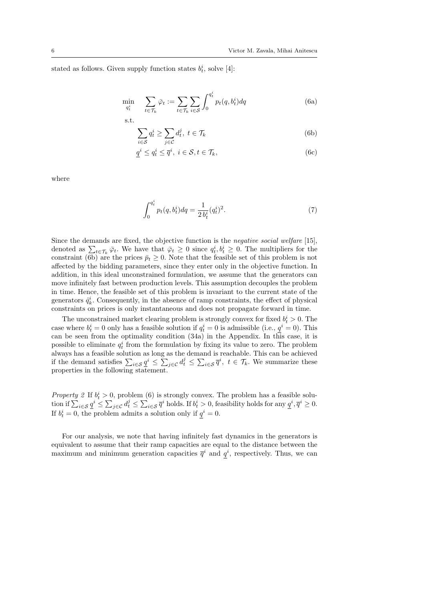stated as follows. Given supply function states  $b_t^i$ , solve [4]:

$$
\min_{q_t^i} \quad \sum_{t \in \mathcal{T}_k} \bar{\varphi}_t := \sum_{t \in \mathcal{T}_k} \sum_{i \in \mathcal{S}} \int_0^{q_t^i} p_t(q, b_t^i) dq \tag{6a}
$$

$$
\sum_{i \in S} q_t^i \ge \sum_{j \in \mathcal{C}} d_t^j, \ t \in \mathcal{T}_k
$$
\n(6b)

$$
\underline{q}^i \le q_t^i \le \overline{q}^i, \ i \in \mathcal{S}, t \in \mathcal{T}_k,\tag{6c}
$$

where

$$
\int_0^{q_t^i} p_t(q, b_t^i) dq = \frac{1}{2 b_t^i} (q_t^i)^2.
$$
 (7)

Since the demands are fixed, the objective function is the negative social welfare [15], denoted as  $\sum_{t\in\mathcal{T}_k}\bar{\varphi}_t$ . We have that  $\bar{\varphi}_t \geq 0$  since  $q_t^i, b_t^i \geq 0$ . The multipliers for the constraint (6b) are the prices  $\bar{p}_t \geq 0$ . Note that the feasible set of this problem is not affected by the bidding parameters, since they enter only in the objective function. In addition, in this ideal unconstrained formulation, we assume that the generators can move infinitely fast between production levels. This assumption decouples the problem in time. Hence, the feasible set of this problem is invariant to the current state of the generators  $\hat{q}_k^i$ . Consequently, in the absence of ramp constraints, the effect of physical constraints on prices is only instantaneous and does not propagate forward in time.

The unconstrained market clearing problem is strongly convex for fixed  $b_t^i > 0$ . The case where  $b_t^i = 0$  only has a feasible solution if  $q_t^i = 0$  is admissible (i.e.,  $\underline{q}^i = 0$ ). This can be seen from the optimality condition (34a) in the Appendix. In this case, it is possible to eliminate  $q_t^i$  from the formulation by fixing its value to zero. The problem always has a feasible solution as long as the demand is reachable. This can be achieved if the demand satisfies  $\sum_{i \in \mathcal{S}} \underline{q}^i \leq \sum_{j \in \mathcal{C}} d_t^j \leq \sum_{i \in \mathcal{S}} \overline{q}^i$ ,  $t \in \mathcal{T}_k$ . We summarize these properties in the following statement.

*Property 2* If  $b_t^i > 0$ , problem (6) is strongly convex. The problem has a feasible solution if  $\sum_{i \in \mathcal{S}} \underline{q}^i \leq \sum_{j \in \mathcal{C}} d_i^j \leq \sum_{i \in \mathcal{S}} \overline{q}^i$  holds. If  $b_t^i > 0$ , feasibility holds for any  $\underline{q}^i, \overline{q}^i \geq 0$ . If  $b_t^i = 0$ , the problem admits a solution only if  $\underline{q}^i = 0$ .

For our analysis, we note that having infinitely fast dynamics in the generators is equivalent to assume that their ramp capacities are equal to the distance between the maximum and minimum generation capacities  $\overline{q}^i$  and  $q^i$ , respectively. Thus, we can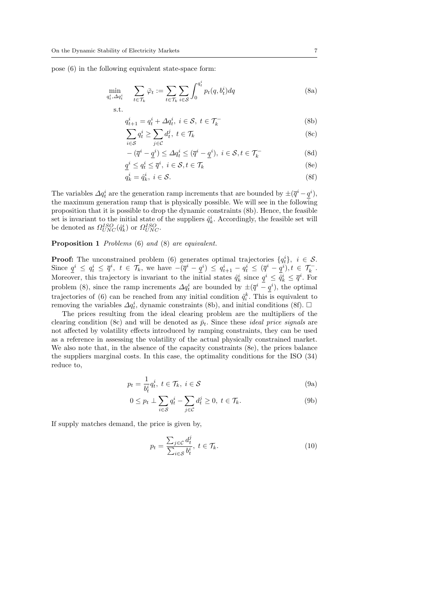pose (6) in the following equivalent state-space form:

$$
\min_{q_t^i, \Delta q_t^i} \quad \sum_{t \in \mathcal{T}_k} \bar{\varphi}_t := \sum_{t \in \mathcal{T}_k} \sum_{i \in \mathcal{S}} \int_0^{q_t^i} p_t(q, b_t^i) dq
$$
\n
$$
\text{s.t.} \tag{8a}
$$

$$
q_{t+1}^i = q_t^i + \Delta q_t^i, \ i \in \mathcal{S}, \ t \in \mathcal{T}_k^-
$$
\n<sup>(8b)</sup>

$$
\sum_{i \in S} q_t^i \ge \sum_{j \in \mathcal{C}} d_t^j, \ t \in \mathcal{T}_k \tag{8c}
$$

$$
-(\overline{q}^i - \underline{q}^i) \le \Delta q_t^i \le (\overline{q}^i - \underline{q}^i), \ i \in \mathcal{S}, t \in \mathcal{T}_k^-
$$
\n(8d)

$$
\underline{q}^i \le q^i_t \le \overline{q}^i, \ i \in \mathcal{S}, t \in \mathcal{T}_k \tag{8e}
$$

$$
q_k^i = \hat{q}_k^i, \ i \in \mathcal{S}.\tag{8f}
$$

The variables  $\Delta q_t^i$  are the generation ramp increments that are bounded by  $\pm(\overline{q}^i-\underline{q}^i)$ , the maximum generation ramp that is physically possible. We will see in the following proposition that it is possible to drop the dynamic constraints (8b). Hence, the feasible set is invariant to the initial state of the suppliers  $\hat{q}_k^i$ . Accordingly, the feasible set will be denoted as  $\Omega_{UNC}^{ISO}(\hat{q}_k^i)$  or  $\Omega_{UNC}^{ISO}$ .

### Proposition 1 Problems (6) and (8) are equivalent.

**Proof:** The unconstrained problem (6) generates optimal trajectories  $\{q_t^i\}$ ,  $i \in \mathcal{S}$ . Since  $\underline{q}^i \le q^i_t \le \overline{q}^i$ ,  $t \in \mathcal{T}_k$ , we have  $-(\overline{q}^i - \underline{q}^i) \le q^i_{t+1} - q^i_t \le (\overline{q}^i - \underline{q}^i)$ ,  $t \in \mathcal{T}_k^-$ . Moreover, this trajectory is invariant to the initial states  $\hat{q}_k^i$  since  $\underline{q}^i \leq \hat{q}_k^i \leq \overline{q}^i$ . For problem (8), since the ramp increments  $\Delta q_t^i$  are bounded by  $\pm(\overline{q}^i-\underline{q}^i)$ , the optimal trajectories of (6) can be reached from any initial condition  $\hat{q}_i^k$ . This is equivalent to removing the variables  $\Delta q_t^i$ , dynamic constraints (8b), and initial conditions (8f).  $\Box$ 

The prices resulting from the ideal clearing problem are the multipliers of the clearing condition (8c) and will be denoted as  $\bar{p}_t$ . Since these *ideal price signals* are not affected by volatility effects introduced by ramping constraints, they can be used as a reference in assessing the volatility of the actual physically constrained market. We also note that, in the absence of the capacity constraints (8e), the prices balance the suppliers marginal costs. In this case, the optimality conditions for the ISO (34) reduce to,

$$
p_t = \frac{1}{b_t^i} q_t^i, \ t \in \mathcal{T}_k, \ i \in \mathcal{S}
$$
\n
$$
(9a)
$$

$$
0 \le p_t \perp \sum_{i \in \mathcal{S}} q_t^i - \sum_{j \in \mathcal{C}} d_t^j \ge 0, \ t \in \mathcal{T}_k. \tag{9b}
$$

If supply matches demand, the price is given by,

$$
p_t = \frac{\sum_{j \in \mathcal{C}} d_t^j}{\sum_{i \in \mathcal{S}} b_i^i}, \ t \in \mathcal{T}_k. \tag{10}
$$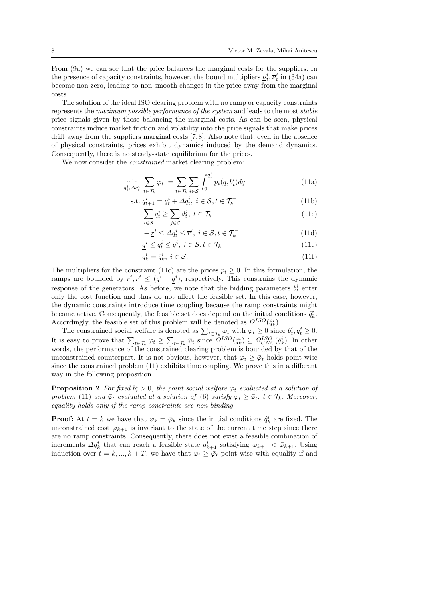From (9a) we can see that the price balances the marginal costs for the suppliers. In the presence of capacity constraints, however, the bound multipliers  $\underline{\nu}_t^i$ ,  $\overline{\nu}_t^i$  in (34a) can become non-zero, leading to non-smooth changes in the price away from the marginal costs.

The solution of the ideal ISO clearing problem with no ramp or capacity constraints represents the maximum possible performance of the system and leads to the most stable price signals given by those balancing the marginal costs. As can be seen, physical constraints induce market friction and volatility into the price signals that make prices drift away from the suppliers marginal costs [7,8]. Also note that, even in the absence of physical constraints, prices exhibit dynamics induced by the demand dynamics. Consequently, there is no steady-state equilibrium for the prices.

We now consider the *constrained* market clearing problem:

$$
\min_{q_t^i, \Delta q_t^i} \sum_{t \in \mathcal{T}_k} \varphi_t := \sum_{t \in \mathcal{T}_k} \sum_{i \in \mathcal{S}} \int_0^{q_t^i} p_t(q, b_t^i) dq \tag{11a}
$$

$$
\text{s.t. } q_{t+1}^i = q_t^i + \Delta q_t^i, \ i \in \mathcal{S}, t \in \mathcal{T}_k^- \tag{11b}
$$

$$
\sum_{i \in S} q_t^i \ge \sum_{j \in \mathcal{C}} d_t^j, \ t \in \mathcal{T}_k \tag{11c}
$$

$$
-\underline{r}^i \le \Delta q_t^i \le \overline{r}^i, \ i \in \mathcal{S}, t \in \mathcal{T}_k^-
$$
\n(11d)

$$
\underline{q}^i \le q_t^i \le \overline{q}^i, \ i \in \mathcal{S}, t \in \mathcal{T}_k \tag{11e}
$$

$$
q_k^i = \hat{q}_k^i, \ i \in \mathcal{S}.\tag{11f}
$$

The multipliers for the constraint (11c) are the prices  $p_t > 0$ . In this formulation, the ramps are bounded by  $r^i, \bar{r}^i \leq (\bar{q}^i - q^i)$ , respectively. This constrains the dynamic response of the generators. As before, we note that the bidding parameters  $b_t^i$  enter only the cost function and thus do not affect the feasible set. In this case, however, the dynamic constraints introduce time coupling because the ramp constraints might become active. Consequently, the feasible set does depend on the initial conditions  $\hat{q}_k^i$ . Accordingly, the feasible set of this problem will be denoted as  $\Omega^{ISO}(\hat{q}_k^i)$ .

The constrained social welfare is denoted as  $\sum_{t \in \mathcal{T}_k} \varphi_t$  with  $\varphi_t \geq 0$  since  $b_t^i, q_t^i \geq 0$ . It is easy to prove that  $\sum_{t \in \mathcal{T}_k} \varphi_t \geq \sum_{t \in \mathcal{T}_k} \bar{\varphi}_t$  since  $\Omega^{ISO}(\hat{q}_k^i) \subseteq \Omega^{ISO}_{UNC}(\hat{q}_k^i)$ . In other words, the performance of the constrained clearing problem is bounded by that of the unconstrained counterpart. It is not obvious, however, that  $\varphi_t > \bar{\varphi}_t$  holds point wise since the constrained problem (11) exhibits time coupling. We prove this in a different way in the following proposition.

**Proposition 2** For fixed  $b_t^i > 0$ , the point social welfare  $\varphi_t$  evaluated at a solution of problem (11) and  $\overline{\varphi}_t$  evaluated at a solution of (6) satisfy  $\varphi_t \geq \overline{\varphi}_t$ ,  $t \in \mathcal{T}_k$ . Moreover, equality holds only if the ramp constraints are non binding.

**Proof:** At  $t = k$  we have that  $\varphi_k = \bar{\varphi}_k$  since the initial conditions  $\hat{q}_k^i$  are fixed. The unconstrained cost  $\bar{\varphi}_{k+1}$  is invariant to the state of the current time step since there are no ramp constraints. Consequently, there does not exist a feasible combination of increments  $\Delta q_k^i$  that can reach a feasible state  $q_{k+1}^i$  satisfying  $\varphi_{k+1} < \bar{\varphi}_{k+1}$ . Using induction over  $t = k, ..., k + T$ , we have that  $\varphi_t \geq \bar{\varphi}_t$  point wise with equality if and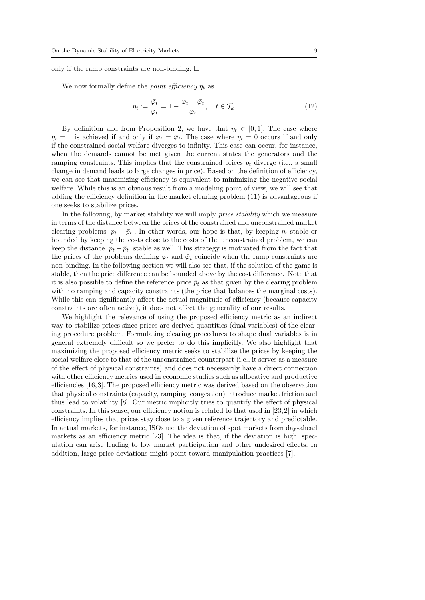only if the ramp constraints are non-binding.  $\square$ 

We now formally define the *point efficiency*  $\eta_t$  as

$$
\eta_t := \frac{\bar{\varphi}_t}{\varphi_t} = 1 - \frac{\varphi_t - \bar{\varphi}_t}{\varphi_t}, \quad t \in \mathcal{T}_k.
$$
\n(12)

By definition and from Proposition 2, we have that  $\eta_t \in [0,1]$ . The case where  $\eta_t = 1$  is achieved if and only if  $\varphi_t = \bar{\varphi}_t$ . The case where  $\eta_t = 0$  occurs if and only if the constrained social welfare diverges to infinity. This case can occur, for instance, when the demands cannot be met given the current states the generators and the ramping constraints. This implies that the constrained prices  $p_t$  diverge (i.e., a small change in demand leads to large changes in price). Based on the definition of efficiency, we can see that maximizing efficiency is equivalent to minimizing the negative social welfare. While this is an obvious result from a modeling point of view, we will see that adding the efficiency definition in the market clearing problem (11) is advantageous if one seeks to stabilize prices.

In the following, by market stability we will imply price stability which we measure in terms of the distance between the prices of the constrained and unconstrained market clearing problems  $|p_t - \bar{p}_t|$ . In other words, our hope is that, by keeping  $\eta_t$  stable or bounded by keeping the costs close to the costs of the unconstrained problem, we can keep the distance  $|p_t - \bar{p}_t|$  stable as well. This strategy is motivated from the fact that the prices of the problems defining  $\varphi_t$  and  $\bar{\varphi}_t$  coincide when the ramp constraints are non-binding. In the following section we will also see that, if the solution of the game is stable, then the price difference can be bounded above by the cost difference. Note that it is also possible to define the reference price  $\bar{p}_t$  as that given by the clearing problem with no ramping and capacity constraints (the price that balances the marginal costs). While this can significantly affect the actual magnitude of efficiency (because capacity constraints are often active), it does not affect the generality of our results.

We highlight the relevance of using the proposed efficiency metric as an indirect way to stabilize prices since prices are derived quantities (dual variables) of the clearing procedure problem. Formulating clearing procedures to shape dual variables is in general extremely difficult so we prefer to do this implicitly. We also highlight that maximizing the proposed efficiency metric seeks to stabilize the prices by keeping the social welfare close to that of the unconstrained counterpart (i.e., it serves as a measure of the effect of physical constraints) and does not necessarily have a direct connection with other efficiency metrics used in economic studies such as allocative and productive efficiencies [16, 3]. The proposed efficiency metric was derived based on the observation that physical constraints (capacity, ramping, congestion) introduce market friction and thus lead to volatility [8]. Our metric implicitly tries to quantify the effect of physical constraints. In this sense, our efficiency notion is related to that used in  $[23, 2]$  in which efficiency implies that prices stay close to a given reference trajectory and predictable. In actual markets, for instance, ISOs use the deviation of spot markets from day-ahead markets as an efficiency metric [23]. The idea is that, if the deviation is high, speculation can arise leading to low market participation and other undesired effects. In addition, large price deviations might point toward manipulation practices [7].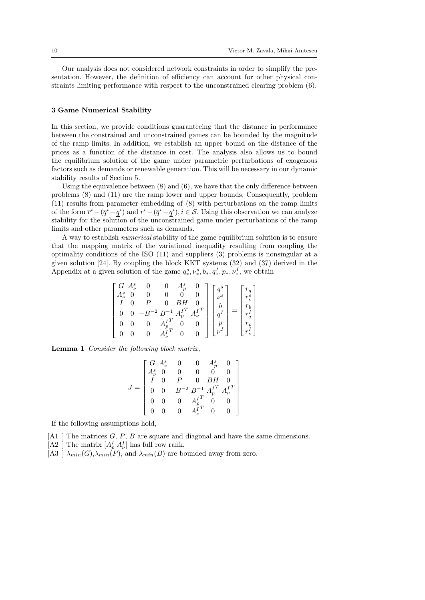Our analysis does not considered network constraints in order to simplify the presentation. However, the definition of efficiency can account for other physical constraints limiting performance with respect to the unconstrained clearing problem (6).

### 3 Game Numerical Stability

In this section, we provide conditions guaranteeing that the distance in performance between the constrained and unconstrained games can be bounded by the magnitude of the ramp limits. In addition, we establish an upper bound on the distance of the prices as a function of the distance in cost. The analysis also allows us to bound the equilibrium solution of the game under parametric perturbations of exogenous factors such as demands or renewable generation. This will be necessary in our dynamic stability results of Section 5.

Using the equivalence between  $(8)$  and  $(6)$ , we have that the only difference between problems (8) and (11) are the ramp lower and upper bounds. Consequently, problem (11) results from parameter embedding of (8) with perturbations on the ramp limits of the form  $\bar{r}^i - (\bar{q}^i - q^i)$  and  $\underline{r}^i - (\bar{q}^i - q^i), i \in \mathcal{S}$ . Using this observation we can analyze stability for the solution of the unconstrained game under perturbations of the ramp limits and other parameters such as demands.

A way to establish numerical stability of the game equilibrium solution is to ensure that the mapping matrix of the variational inequality resulting from coupling the optimality conditions of the ISO (11) and suppliers (3) problems is nonsingular at a given solution [24]. By coupling the block KKT systems (32) and (37) derived in the Appendix at a given solution of the game  $q_*^s, \nu_*^s, b_*, q_*^I, p_*, \nu_*^I$ , we obtain

$$
\begin{bmatrix} G & A_{\nu}^s & 0 & 0 & A_{\rho}^s & 0 \\ A_{\nu}^s & 0 & 0 & 0 & 0 & 0 \\ I & 0 & P & 0 & BH & 0 \\ 0 & 0 & -B^{-2} & B^{-1} & A_{\rho}^{T} & A_{\nu}^{T} \\ 0 & 0 & 0 & A_{\rho}^{T} & 0 & 0 \\ 0 & 0 & 0 & A_{\nu}^{T} & 0 & 0 \end{bmatrix} \begin{bmatrix} q^s \\ \nu^s \\ b \\ q^I \\ p \\ \nu^I \end{bmatrix} = \begin{bmatrix} r_q \\ r_{\nu}^s \\ r_b \\ r_q^t \\ r_p^t \\ r_{\nu}^I \end{bmatrix}
$$

Lemma 1 Consider the following block matrix,

$$
J = \begin{bmatrix} G & A^s_\nu & 0 & 0 & A^s_p & 0 \\ A^s_\nu & 0 & 0 & 0 & 0 \\ I & 0 & P & 0 & BH & 0 \\ 0 & 0 & -B^{-2} & B^{-1} & A^{IT}_p & A^{IT}_\nu \\ 0 & 0 & 0 & A^{IT}_p & 0 & 0 \\ 0 & 0 & 0 & A^{IT}_\nu & 0 & 0 \end{bmatrix}
$$

If the following assumptions hold,

- $[A1]$  The matrices G, P, B are square and diagonal and have the same dimensions.
- [A2 ] The matrix  $[A_p^I A_{\nu}^I]$  has full row rank.
- [A3 ]  $\lambda_{min}(G), \lambda_{min}(P)$ , and  $\lambda_{min}(B)$  are bounded away from zero.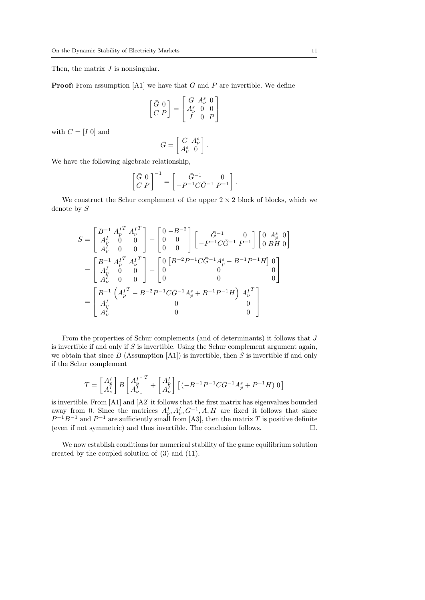Then, the matrix  $J$  is nonsingular.

**Proof:** From assumption  $[A1]$  we have that G and P are invertible. We define

$$
\begin{bmatrix} \bar{G} & 0 \\ C & P \end{bmatrix} = \begin{bmatrix} G & A_{\nu}^s & 0 \\ A_{\nu}^s & 0 & 0 \\ I & 0 & P \end{bmatrix}
$$

with  $C = [I \ 0]$  and

$$
\bar{G} = \begin{bmatrix} G & A^s_\nu \\ A^s_\nu & 0 \end{bmatrix}
$$

.

We have the following algebraic relationship,

 $\lceil$ 

$$
\begin{bmatrix} \bar{G} & 0 \\ C & P \end{bmatrix}^{-1} = \begin{bmatrix} \bar{G}^{-1} & 0 \\ -P^{-1}C\bar{G}^{-1} & P^{-1} \end{bmatrix}.
$$

We construct the Schur complement of the upper  $2 \times 2$  block of blocks, which we denote by S

$$
S = \begin{bmatrix} B^{-1} A_p^{I^T} A_\nu^{I^T} \\ A_p^I & 0 & 0 \\ A_\nu^I & 0 & 0 \end{bmatrix} - \begin{bmatrix} 0 - B^{-2} \\ 0 & 0 \\ 0 & 0 \end{bmatrix} \begin{bmatrix} \bar{G}^{-1} & 0 \\ -P^{-1} C \bar{G}^{-1} P^{-1} \end{bmatrix} \begin{bmatrix} 0 & A_p^s & 0 \\ 0 & BH & 0 \end{bmatrix}
$$
  
= 
$$
\begin{bmatrix} B^{-1} A_p^{I^T} A_\nu^{I^T} \\ A_p^I & 0 & 0 \\ A_\nu^I & 0 & 0 \end{bmatrix} - \begin{bmatrix} 0 & [B^{-2}P^{-1} C \bar{G}^{-1} A_p^s - B^{-1} P^{-1} H] & 0 \\ 0 & 0 & 0 \\ 0 & 0 & 0 \end{bmatrix}
$$
  
= 
$$
\begin{bmatrix} B^{-1} \begin{bmatrix} A_p^{I^T} - B^{-2} P^{-1} C \bar{G}^{-1} A_p^s + B^{-1} P^{-1} H \end{bmatrix} A_\nu^{I^T} \\ A_\nu^I & 0 & 0 \\ A_\nu^I & 0 & 0 \end{bmatrix}
$$

From the properties of Schur complements (and of determinants) it follows that J is invertible if and only if  $S$  is invertible. Using the Schur complement argument again, we obtain that since  $B$  (Assumption [A1]) is invertible, then  $S$  is invertible if and only if the Schur complement

$$
T=\begin{bmatrix}A_p^I\\A_\nu^I\end{bmatrix}B\begin{bmatrix}A_p^I\\A_\nu^I\end{bmatrix}^T+\begin{bmatrix}A_p^I\\A_\nu^I\end{bmatrix}\begin{bmatrix}\begin{pmatrix}-B^{-1}P^{-1}C\bar G^{-1}A_p^s+P^{-1}H\end{pmatrix}0\end{bmatrix}
$$

is invertible. From [A1] and [A2] it follows that the first matrix has eigenvalues bounded away from 0. Since the matrices  $A_p^I, A_\nu^I, \bar{G}^{-1}, A, H$  are fixed it follows that since  $P^{-1}B^{-1}$  and  $P^{-1}$  are sufficiently small from [A3], then the matrix T is positive definite (even if not symmetric) and thus invertible. The conclusion follows.  $\Box$ .

We now establish conditions for numerical stability of the game equilibrium solution created by the coupled solution of (3) and (11).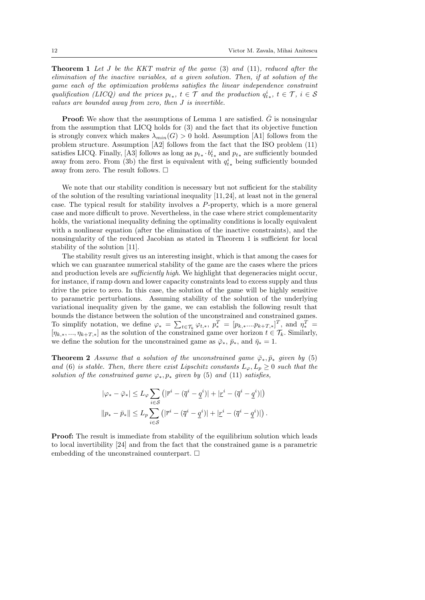**Theorem 1** Let J be the KKT matrix of the game  $(3)$  and  $(11)$ , reduced after the elimination of the inactive variables, at a given solution. Then, if at solution of the game each of the optimization problems satisfies the linear independence constraint qualification (LICQ) and the prices  $p_{t*}$ ,  $t \in \mathcal{T}$  and the production  $q_{t*}^i$ ,  $t \in \mathcal{T}$ ,  $i \in \mathcal{S}$ values are bounded away from zero, then J is invertible.

**Proof:** We show that the assumptions of Lemma 1 are satisfied.  $\bar{G}$  is nonsingular from the assumption that LICQ holds for (3) and the fact that its objective function is strongly convex which makes  $\lambda_{min}(G) > 0$  hold. Assumption [A1] follows from the problem structure. Assumption [A2] follows from the fact that the ISO problem (11) satisfies LICQ. Finally, [A3] follows as long as  $p_{t*} \cdot b_{t*}^i$  and  $p_{t*}$  are sufficiently bounded away from zero. From (3b) the first is equivalent with  $q_{t*}^{i}$  being sufficiently bounded away from zero. The result follows.  $\Box$ 

We note that our stability condition is necessary but not sufficient for the stability of the solution of the resulting variational inequality [11, 24], at least not in the general case. The typical result for stability involves a P-property, which is a more general case and more difficult to prove. Nevertheless, in the case where strict complementarity holds, the variational inequality defining the optimality conditions is locally equivalent with a nonlinear equation (after the elimination of the inactive constraints), and the nonsingularity of the reduced Jacobian as stated in Theorem 1 is sufficient for local stability of the solution [11].

The stability result gives us an interesting insight, which is that among the cases for which we can guarantee numerical stability of the game are the cases where the prices and production levels are *sufficiently high*. We highlight that degeneracies might occur, for instance, if ramp down and lower capacity constraints lead to excess supply and thus drive the price to zero. In this case, the solution of the game will be highly sensitive to parametric perturbations. Assuming stability of the solution of the underlying variational inequality given by the game, we can establish the following result that bounds the distance between the solution of the unconstrained and constrained games. To simplify notation, we define  $\varphi_* = \sum_{t \in \mathcal{T}_k} \varphi_{t,*}, p_*^T = [p_{k,*}...p_{k+T,*}]^T$ , and  $\eta_*^T =$  $[\eta_{k,*},...,\eta_{k+T,*}]$  as the solution of the constrained game over horizon  $t \in \mathcal{T}_k$ . Similarly, we define the solution for the unconstrained game as  $\bar{\varphi}_*, \bar{p}_*,$  and  $\bar{\eta}_* = 1$ .

**Theorem 2** Assume that a solution of the unconstrained game  $\bar{\varphi}_*, \bar{p}_*$  given by (5) and (6) is stable. Then, there there exist Lipschitz constants  $L_{\varphi}, L_p \geq 0$  such that the solution of the constrained game  $\varphi_*, p_*$  given by (5) and (11) satisfies,

$$
|\varphi_* - \bar{\varphi}_*| \le L_{\varphi} \sum_{i \in S} (|\bar{r}^i - (\bar{q}^i - \underline{q}^i)| + |\underline{r}^i - (\bar{q}^i - \underline{q}^i)|)
$$
  

$$
||p_* - \bar{p}_*|| \le L_p \sum_{i \in S} (|\bar{r}^i - (\bar{q}^i - \underline{q}^i)| + |\underline{r}^i - (\bar{q}^i - \underline{q}^i)|).
$$

**Proof:** The result is immediate from stability of the equilibrium solution which leads to local invertibility [24] and from the fact that the constrained game is a parametric embedding of the unconstrained counterpart.  $\Box$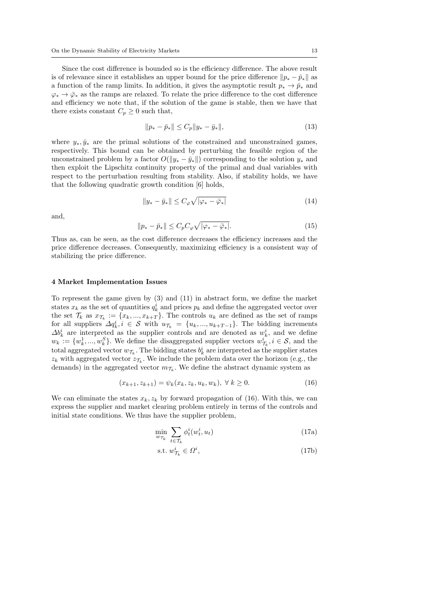Since the cost difference is bounded so is the efficiency difference. The above result is of relevance since it establishes an upper bound for the price difference  $\|p_* - \bar{p}_*\|$  as a function of the ramp limits. In addition, it gives the asymptotic result  $p_* \to \bar{p}_*$  and  $\varphi_* \to \bar{\varphi}_*$  as the ramps are relaxed. To relate the price difference to the cost difference and efficiency we note that, if the solution of the game is stable, then we have that there exists constant  $C_p \geq 0$  such that,

$$
||p_* - \bar{p}_*|| \le C_p ||y_* - \bar{y}_*||,
$$
\n(13)

where  $y_*, \bar{y}_*$  are the primal solutions of the constrained and unconstrained games, respectively. This bound can be obtained by perturbing the feasible region of the unconstrained problem by a factor  $O(\|y_* - \bar{y}_*\|)$  corresponding to the solution  $y_*$  and then exploit the Lipschitz continuity property of the primal and dual variables with respect to the perturbation resulting from stability. Also, if stability holds, we have that the following quadratic growth condition [6] holds,

$$
||y_* - \bar{y}_*|| \leq C_{\varphi} \sqrt{|\varphi_* - \bar{\varphi}_*|} \tag{14}
$$

and,

$$
||p_* - \bar{p}_*|| \le C_p C_\varphi \sqrt{|\varphi_* - \bar{\varphi}_*|}. \tag{15}
$$

Thus as, can be seen, as the cost difference decreases the efficiency increases and the price difference decreases. Consequently, maximizing efficiency is a consistent way of stabilizing the price difference.

# 4 Market Implementation Issues

To represent the game given by (3) and (11) in abstract form, we define the market states  $x_k$  as the set of quantities  $q_k^i$  and prices  $p_k$  and define the aggregated vector over the set  $\mathcal{T}_k$  as  $x_{\mathcal{T}_k} := \{x_k, ..., x_{k+T}\}.$  The controls  $u_k$  are defined as the set of ramps for all suppliers  $\Delta q_k^i$ ,  $i \in \mathcal{S}$  with  $u_{\mathcal{T}_k} = \{u_k, ..., u_{k+T-1}\}$ . The bidding increments  $\Delta b_k^i$  are interpreted as the supplier controls and are denoted as  $w_k^i$ , and we define  $w_k := \{w_k^1, ..., w_k^S\}$ . We define the disaggregated supplier vectors  $w_{\mathcal{T}_k}^i, i \in \mathcal{S}$ , and the total aggregated vector  $w_{\mathcal{T}_k}$ . The bidding states  $b_k^i$  are interpreted as the supplier states  $z_k$  with aggregated vector  $z_{\mathcal{T}_k}$ . We include the problem data over the horizon (e.g., the demands) in the aggregated vector  $m_{\mathcal{T}_k}$ . We define the abstract dynamic system as

$$
(x_{k+1}, z_{k+1}) = \psi_k(x_k, z_k, u_k, w_k), \ \forall \ k \ge 0.
$$
 (16)

We can eliminate the states  $x_k, z_k$  by forward propagation of (16). With this, we can express the supplier and market clearing problem entirely in terms of the controls and initial state conditions. We thus have the supplier problem,

$$
\min_{w_{\mathcal{T}_k}} \sum_{t \in \mathcal{T}_k} \phi_t^i(w_t^i, u_t) \tag{17a}
$$

$$
\text{s.t. } w^i_{\mathcal{T}_k} \in \Omega^i,\tag{17b}
$$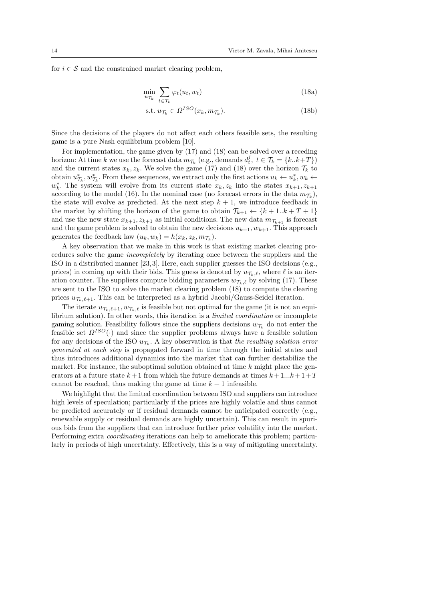for  $i \in \mathcal{S}$  and the constrained market clearing problem,

$$
\min_{u_{\mathcal{T}_k}} \sum_{t \in \mathcal{T}_k} \varphi_t(u_t, w_t) \tag{18a}
$$

$$
\text{s.t. } u_{\mathcal{T}_k} \in \Omega^{ISO}(x_k, m_{\mathcal{T}_k}).\tag{18b}
$$

Since the decisions of the players do not affect each others feasible sets, the resulting game is a pure Nash equilibrium problem [10].

For implementation, the game given by (17) and (18) can be solved over a receding horizon: At time k we use the forecast data  $m_{\mathcal{T}_k}$  (e.g., demands  $d_t^j$ ,  $t \in \mathcal{T}_k = \{k..k+T\}$ ) and the current states  $x_k, z_k$ . We solve the game (17) and (18) over the horizon  $\mathcal{T}_k$  to obtain  $u_{\mathcal{T}_k}^*$ ,  $w_{\mathcal{T}_k}^*$ . From these sequences, we extract only the first actions  $u_k \leftarrow u_k^*$ ,  $w_k \leftarrow$  $w_k^*$ . The system will evolve from its current state  $x_k, z_k$  into the states  $x_{k+1}, z_{k+1}$ according to the model (16). In the nominal case (no forecast errors in the data  $m_{\mathcal{T}_k}$ ), the state will evolve as predicted. At the next step  $k + 1$ , we introduce feedback in the market by shifting the horizon of the game to obtain  $\mathcal{T}_{k+1} \leftarrow \{k+1..k+T+1\}$ and use the new state  $x_{k+1}, z_{k+1}$  as initial conditions. The new data  $m_{\mathcal{T}_{k+1}}$  is forecast and the game problem is solved to obtain the new decisions  $u_{k+1}, w_{k+1}$ . This approach generates the feedback law  $(u_k, w_k) = h(x_k, z_k, m_{\mathcal{T}_k})$ .

A key observation that we make in this work is that existing market clearing procedures solve the game incompletely by iterating once between the suppliers and the ISO in a distributed manner [23, 3]. Here, each supplier guesses the ISO decisions (e.g., prices) in coming up with their bids. This guess is denoted by  $u_{\mathcal{T}_k,\ell}$ , where  $\ell$  is an iteration counter. The suppliers compute bidding parameters  $w_{\mathcal{T}_k,\ell}$  by solving (17). These are sent to the ISO to solve the market clearing problem (18) to compute the clearing prices  $u_{\mathcal{T}_k,\ell+1}$ . This can be interpreted as a hybrid Jacobi/Gauss-Seidel iteration.

The iterate  $u_{\mathcal{T}_k,\ell+1}, w_{\mathcal{T}_k,\ell}$  is feasible but not optimal for the game (it is not an equilibrium solution). In other words, this iteration is a *limited coordination* or incomplete gaming solution. Feasibility follows since the suppliers decisions  $w_{\mathcal{T}_k}$  do not enter the feasible set  $\Omega^{ISO}(\cdot)$  and since the supplier problems always have a feasible solution for any decisions of the ISO  $u_{\mathcal{T}_k}$ . A key observation is that the resulting solution error generated at each step is propagated forward in time through the initial states and thus introduces additional dynamics into the market that can further destabilize the market. For instance, the suboptimal solution obtained at time  $k$  might place the generators at a future state  $k+1$  from which the future demands at times  $k+1...k+1+T$ cannot be reached, thus making the game at time  $k+1$  infeasible.

We highlight that the limited coordination between ISO and suppliers can introduce high levels of speculation; particularly if the prices are highly volatile and thus cannot be predicted accurately or if residual demands cannot be anticipated correctly (e.g., renewable supply or residual demands are highly uncertain). This can result in spurious bids from the suppliers that can introduce further price volatility into the market. Performing extra coordinating iterations can help to ameliorate this problem; particularly in periods of high uncertainty. Effectively, this is a way of mitigating uncertainty.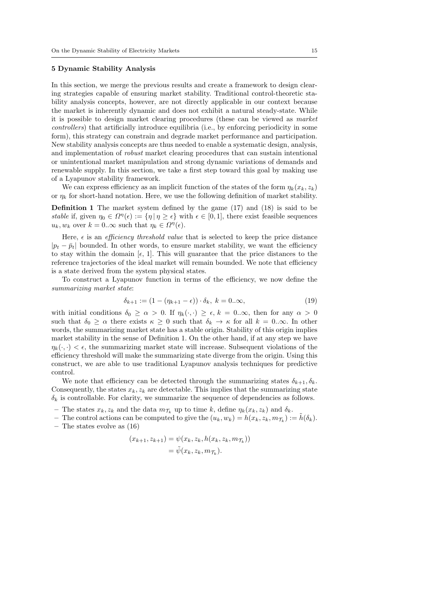# 5 Dynamic Stability Analysis

In this section, we merge the previous results and create a framework to design clearing strategies capable of ensuring market stability. Traditional control-theoretic stability analysis concepts, however, are not directly applicable in our context because the market is inherently dynamic and does not exhibit a natural steady-state. While it is possible to design market clearing procedures (these can be viewed as market controllers) that artificially introduce equilibria (i.e., by enforcing periodicity in some form), this strategy can constrain and degrade market performance and participation. New stability analysis concepts are thus needed to enable a systematic design, analysis, and implementation of robust market clearing procedures that can sustain intentional or unintentional market manipulation and strong dynamic variations of demands and renewable supply. In this section, we take a first step toward this goal by making use of a Lyapunov stability framework.

We can express efficiency as an implicit function of the states of the form  $\eta_k(x_k, z_k)$ or  $\eta_k$  for short-hand notation. Here, we use the following definition of market stability.

Definition 1 The market system defined by the game (17) and (18) is said to be stable if, given  $\eta_0 \in \Omega^n(\epsilon) := {\eta | \eta \geq \epsilon}$  with  $\epsilon \in [0,1]$ , there exist feasible sequences  $u_k, w_k$  over  $k = 0..\infty$  such that  $\eta_k \in \Omega^{\eta}(\epsilon)$ .

Here,  $\epsilon$  is an *efficiency threshold value* that is selected to keep the price distance  $|p_t - \bar{p}_t|$  bounded. In other words, to ensure market stability, we want the efficiency to stay within the domain  $[\epsilon, 1]$ . This will guarantee that the price distances to the reference trajectories of the ideal market will remain bounded. We note that efficiency is a state derived from the system physical states.

To construct a Lyapunov function in terms of the efficiency, we now define the summarizing market state:

$$
\delta_{k+1} := (1 - (\eta_{k+1} - \epsilon)) \cdot \delta_k, \ k = 0...\infty,
$$
\n(19)

with initial conditions  $\delta_0 \ge \alpha > 0$ . If  $\eta_k(\cdot, \cdot) \ge \epsilon, k = 0 \ldots \infty$ , then for any  $\alpha > 0$ such that  $\delta_0 \geq \alpha$  there exists  $\kappa \geq 0$  such that  $\delta_k \to \kappa$  for all  $k = 0..\infty$ . In other words, the summarizing market state has a stable origin. Stability of this origin implies market stability in the sense of Definition 1. On the other hand, if at any step we have  $\eta_k(\cdot, \cdot) < \epsilon$ , the summarizing market state will increase. Subsequent violations of the efficiency threshold will make the summarizing state diverge from the origin. Using this construct, we are able to use traditional Lyapunov analysis techniques for predictive control.

We note that efficiency can be detected through the summarizing states  $\delta_{k+1}, \delta_k$ . Consequently, the states  $x_k, z_k$  are detectable. This implies that the summarizing state  $\delta_k$  is controllable. For clarity, we summarize the sequence of dependencies as follows.

- The states  $x_k, z_k$  and the data  $m_{\tau_k}$  up to time k, define  $\eta_k(x_k, z_k)$  and  $\delta_k$ .
- The control actions can be computed to give the  $(u_k, w_k) = h(x_k, z_k, m_{\mathcal{T}_k}) := \tilde{h}(\delta_k)$ . – The states evolve as (16)

$$
(x_{k+1}, z_{k+1}) = \psi(x_k, z_k, h(x_k, z_k, m_{\mathcal{T}_k}))
$$
  
=  $\tilde{\psi}(x_k, z_k, m_{\mathcal{T}_k}).$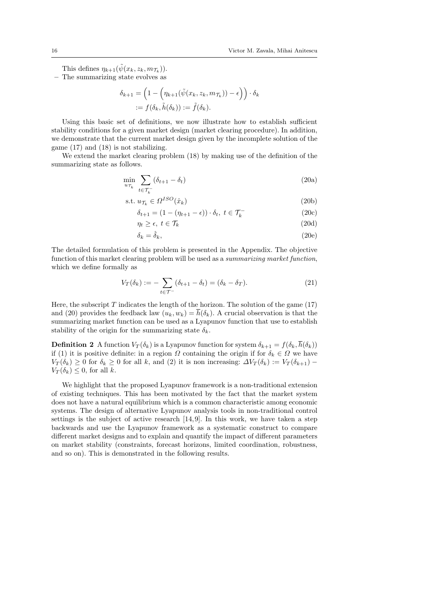This defines  $\eta_{k+1}(\tilde{\psi}(x_k, z_k, m_{\mathcal{T}_k}))$ .

– The summarizing state evolves as

$$
\delta_{k+1} = \left(1 - \left(\eta_{k+1}(\tilde{\psi}(x_k, z_k, m_{\mathcal{T}_k})) - \epsilon\right)\right) \cdot \delta_k
$$
  
 :=  $f(\delta_k, \tilde{h}(\delta_k)) := \tilde{f}(\delta_k).$ 

Using this basic set of definitions, we now illustrate how to establish sufficient stability conditions for a given market design (market clearing procedure). In addition, we demonstrate that the current market design given by the incomplete solution of the game (17) and (18) is not stabilizing.

We extend the market clearing problem (18) by making use of the definition of the summarizing state as follows.

$$
\min_{u_{\mathcal{T}_k}} \sum_{t \in \mathcal{T}_k^-} (\delta_{t+1} - \delta_t) \tag{20a}
$$

$$
s.t. u_{\mathcal{T}_k} \in \Omega^{ISO}(\hat{x}_k)
$$
\n<sup>(20b)</sup>

$$
\delta_{t+1} = (1 - (\eta_{t+1} - \epsilon)) \cdot \delta_t, \ t \in \mathcal{T}_k^-
$$
\n
$$
(20c)
$$

$$
\eta_t \ge \epsilon, \ t \in \mathcal{T}_k \tag{20d}
$$

$$
\delta_k = \hat{\delta}_k,\tag{20e}
$$

The detailed formulation of this problem is presented in the Appendix. The objective function of this market clearing problem will be used as a summarizing market function, which we define formally as

$$
V_T(\delta_k) := -\sum_{t \in \mathcal{T}^-} (\delta_{t+1} - \delta_t) = (\delta_k - \delta_T). \tag{21}
$$

Here, the subscript  $T$  indicates the length of the horizon. The solution of the game (17) and (20) provides the feedback law  $(u_k, w_k) = \overline{h}(\delta_k)$ . A crucial observation is that the summarizing market function can be used as a Lyapunov function that use to establish stability of the origin for the summarizing state  $\delta_k$ .

**Definition 2** A function  $V_T(\delta_k)$  is a Lyapunov function for system  $\delta_{k+1} = f(\delta_k, \overline{h}(\delta_k))$ if (1) it is positive definite: in a region  $\Omega$  containing the origin if for  $\delta_k \in \Omega$  we have  $V_T(\delta_k) \geq 0$  for  $\delta_k \geq 0$  for all k, and (2) it is non increasing:  $\Delta V_T(\delta_k) := V_T(\delta_{k+1})$  $V_T(\delta_k) \leq 0$ , for all k.

We highlight that the proposed Lyapunov framework is a non-traditional extension of existing techniques. This has been motivated by the fact that the market system does not have a natural equilibrium which is a common characteristic among economic systems. The design of alternative Lyapunov analysis tools in non-traditional control settings is the subject of active research [14, 9]. In this work, we have taken a step backwards and use the Lyapunov framework as a systematic construct to compare different market designs and to explain and quantify the impact of different parameters on market stability (constraints, forecast horizons, limited coordination, robustness, and so on). This is demonstrated in the following results.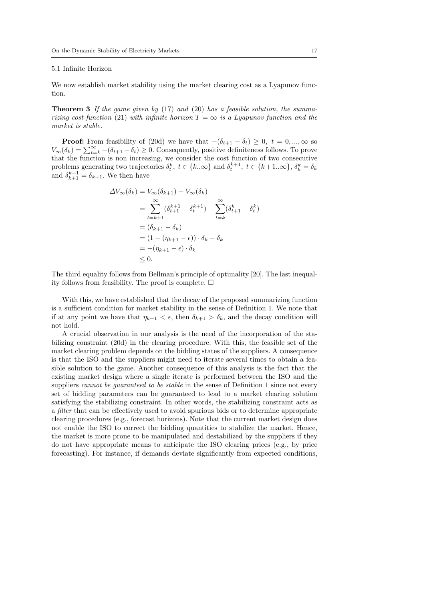# 5.1 Infinite Horizon

We now establish market stability using the market clearing cost as a Lyapunov function.

**Theorem 3** If the game given by  $(17)$  and  $(20)$  has a feasible solution, the summarizing cost function (21) with infinite horizon  $T = \infty$  is a Lyapunov function and the market is stable.

**Proof:** From feasibility of (20d) we have that  $-(\delta_{t+1} - \delta_t) \geq 0, t = 0, ..., \infty$  so  $V_{\infty}(\delta_k) = \sum_{t=k}^{\infty} -(\delta_{t+1} - \delta_t) \geq 0$ . Consequently, positive definiteness follows. To prove that the function is non increasing, we consider the cost function of two consecutive problems generating two trajectories  $\delta_t^k$ ,  $t \in \{k..\infty\}$  and  $\delta_t^{k+1}$ ,  $t \in \{k+1..\infty\}$ ,  $\delta_k^k = \delta_k$ and  $\delta_{k+1}^{k+1} = \delta_{k+1}$ . We then have

$$
\Delta V_{\infty}(\delta_k) = V_{\infty}(\delta_{k+1}) - V_{\infty}(\delta_k)
$$
  
= 
$$
\sum_{t=k+1}^{\infty} (\delta_{t+1}^{k+1} - \delta_t^{k+1}) - \sum_{t=k}^{\infty} (\delta_{t+1}^k - \delta_t^k)
$$
  
= 
$$
(\delta_{k+1} - \delta_k)
$$
  
= 
$$
(1 - (\eta_{k+1} - \epsilon)) \cdot \delta_k - \delta_k
$$
  
= 
$$
-(\eta_{k+1} - \epsilon) \cdot \delta_k
$$
  

$$
\leq 0.
$$

The third equality follows from Bellman's principle of optimality [20]. The last inequality follows from feasibility. The proof is complete.  $\Box$ 

With this, we have established that the decay of the proposed summarizing function is a sufficient condition for market stability in the sense of Definition 1. We note that if at any point we have that  $\eta_{k+1} < \epsilon$ , then  $\delta_{k+1} > \delta_k$ , and the decay condition will not hold.

A crucial observation in our analysis is the need of the incorporation of the stabilizing constraint (20d) in the clearing procedure. With this, the feasible set of the market clearing problem depends on the bidding states of the suppliers. A consequence is that the ISO and the suppliers might need to iterate several times to obtain a feasible solution to the game. Another consequence of this analysis is the fact that the existing market design where a single iterate is performed between the ISO and the suppliers cannot be quaranteed to be stable in the sense of Definition 1 since not every set of bidding parameters can be guaranteed to lead to a market clearing solution satisfying the stabilizing constraint. In other words, the stabilizing constraint acts as a filter that can be effectively used to avoid spurious bids or to determine appropriate clearing procedures (e.g., forecast horizons). Note that the current market design does not enable the ISO to correct the bidding quantities to stabilize the market. Hence, the market is more prone to be manipulated and destabilized by the suppliers if they do not have appropriate means to anticipate the ISO clearing prices (e.g., by price forecasting). For instance, if demands deviate significantly from expected conditions,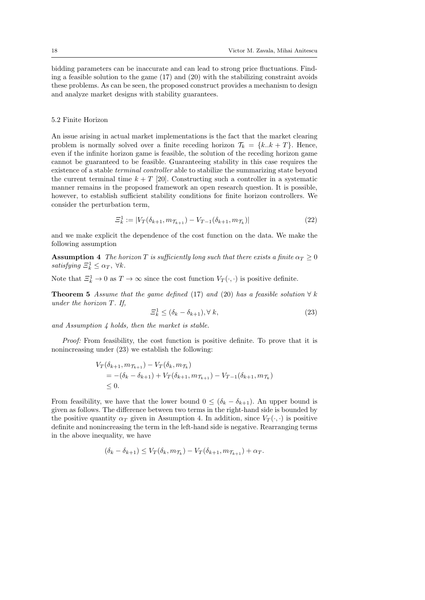bidding parameters can be inaccurate and can lead to strong price fluctuations. Finding a feasible solution to the game  $(17)$  and  $(20)$  with the stabilizing constraint avoids these problems. As can be seen, the proposed construct provides a mechanism to design and analyze market designs with stability guarantees.

# 5.2 Finite Horizon

An issue arising in actual market implementations is the fact that the market clearing problem is normally solved over a finite receding horizon  $\mathcal{T}_k = \{k..k + T\}$ . Hence, even if the infinite horizon game is feasible, the solution of the receding horizon game cannot be guaranteed to be feasible. Guaranteeing stability in this case requires the existence of a stable terminal controller able to stabilize the summarizing state beyond the current terminal time  $k + T$  [20]. Constructing such a controller in a systematic manner remains in the proposed framework an open research question. It is possible, however, to establish sufficient stability conditions for finite horizon controllers. We consider the perturbation term,

$$
\Xi_k^1 := |V_T(\delta_{k+1}, m_{\mathcal{T}_{k+1}}) - V_{T-1}(\delta_{k+1}, m_{\mathcal{T}_k})|
$$
\n(22)

and we make explicit the dependence of the cost function on the data. We make the following assumption

**Assumption 4** The horizon T is sufficiently long such that there exists a finite  $\alpha_T \geq 0$ satisfying  $\Xi_k^1 \leq \alpha_T$ ,  $\forall k$ .

Note that  $\Xi_k^1 \to 0$  as  $T \to \infty$  since the cost function  $V_T(\cdot, \cdot)$  is positive definite.

**Theorem 5** Assume that the game defined (17) and (20) has a feasible solution  $\forall k$ under the horizon T. If,

$$
\Xi_k^1 \le (\delta_k - \delta_{k+1}), \forall \ k,\tag{23}
$$

and Assumption  $\lambda$  holds, then the market is stable.

Proof: From feasibility, the cost function is positive definite. To prove that it is nonincreasing under (23) we establish the following:

$$
V_T(\delta_{k+1}, m_{\mathcal{T}_{k+1}}) - V_T(\delta_k, m_{\mathcal{T}_k})
$$
  
= -(\delta\_k - \delta\_{k+1}) + V\_T(\delta\_{k+1}, m\_{\mathcal{T}\_{k+1}}) - V\_{T-1}(\delta\_{k+1}, m\_{\mathcal{T}\_k})  
\le 0.

From feasibility, we have that the lower bound  $0 \leq (\delta_k - \delta_{k+1})$ . An upper bound is given as follows. The difference between two terms in the right-hand side is bounded by the positive quantity  $\alpha_T$  given in Assumption 4. In addition, since  $V_T(\cdot, \cdot)$  is positive definite and nonincreasing the term in the left-hand side is negative. Rearranging terms in the above inequality, we have

$$
(\delta_k - \delta_{k+1}) \le V_T(\delta_k, m_{\mathcal{T}_k}) - V_T(\delta_{k+1}, m_{\mathcal{T}_{k+1}}) + \alpha_T.
$$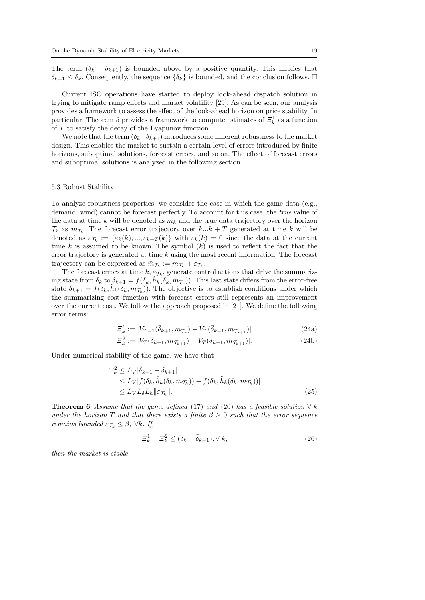The term  $(\delta_k - \delta_{k+1})$  is bounded above by a positive quantity. This implies that  $\delta_{k+1} \leq \delta_k$ . Consequently, the sequence  $\{\delta_k\}$  is bounded, and the conclusion follows.  $\Box$ 

Current ISO operations have started to deploy look-ahead dispatch solution in trying to mitigate ramp effects and market volatility [29]. As can be seen, our analysis provides a framework to assess the effect of the look-ahead horizon on price stability. In particular, Theorem 5 provides a framework to compute estimates of  $\mathcal{Z}_k^1$  as a function of T to satisfy the decay of the Lyapunov function.

We note that the term  $(\delta_k-\delta_{k+1})$  introduces some inherent robustness to the market design. This enables the market to sustain a certain level of errors introduced by finite horizons, suboptimal solutions, forecast errors, and so on. The effect of forecast errors and suboptimal solutions is analyzed in the following section.

#### 5.3 Robust Stability

To analyze robustness properties, we consider the case in which the game data (e.g., demand, wind) cannot be forecast perfectly. To account for this case, the true value of the data at time k will be denoted as  $m_k$  and the true data trajectory over the horizon  $\mathcal{T}_k$  as  $m_{\mathcal{T}_k}$ . The forecast error trajectory over  $k...k+T$  generated at time k will be denoted as  $\varepsilon_{\mathcal{T}_k} := \{\varepsilon_k(k), ..., \varepsilon_{k+T}(k)\}\$  with  $\varepsilon_k(k) = 0$  since the data at the current time k is assumed to be known. The symbol  $(k)$  is used to reflect the fact that the error trajectory is generated at time  $k$  using the most recent information. The forecast trajectory can be expressed as  $\bar{m}_{\mathcal{T}_k} := m_{\mathcal{T}_k} + \varepsilon_{\mathcal{T}_k}$ .

The forecast errors at time  $k, \varepsilon_{\mathcal{T}_k}$ , generate control actions that drive the summarizing state from  $\delta_k$  to  $\delta_{k+1} = f(\delta_k, \tilde{h}_k(\delta_k, \bar{m}_{\mathcal{T}_k}))$ . This last state differs from the error-free state  $\bar{\delta}_{k+1} = f(\delta_k, \tilde{h}_k(\delta_k, m_{\mathcal{T}_k}))$ . The objective is to establish conditions under which the summarizing cost function with forecast errors still represents an improvement over the current cost. We follow the approach proposed in [21]. We define the following error terms:

$$
\Xi_k^1 := |V_{T-1}(\bar{\delta}_{k+1}, m_{\mathcal{T}_k}) - V_T(\bar{\delta}_{k+1}, m_{\mathcal{T}_{k+1}})|
$$
\n(24a)

$$
\Xi_k^2 := |V_T(\bar{\delta}_{k+1}, m_{\mathcal{T}_{k+1}}) - V_T(\delta_{k+1}, m_{\mathcal{T}_{k+1}})|. \tag{24b}
$$

Under numerical stability of the game, we have that

$$
\begin{split} \n\Xi_k^2 &\le L_V |\bar{\delta}_{k+1} - \delta_{k+1}| \\ \n&\le L_V |f(\delta_k, \tilde{h}_k(\delta_k, \bar{m}_{\mathcal{T}_k})) - f(\delta_k, \tilde{h}_k(\delta_k, m_{\mathcal{T}_k}))| \\ \n&\le L_V L_\delta L_h \|\varepsilon_{\mathcal{T}_k}\|. \n\end{split} \tag{25}
$$

**Theorem 6** Assume that the game defined (17) and (20) has a feasible solution  $\forall k$ under the horizon T and that there exists a finite  $\beta \geq 0$  such that the error sequence remains bounded  $\varepsilon_{\mathcal{T}_k} \leq \beta$ ,  $\forall k$ . If,

$$
\Xi_k^1 + \Xi_k^2 \le (\delta_k - \bar{\delta}_{k+1}), \forall k,
$$
\n
$$
(26)
$$

then the market is stable.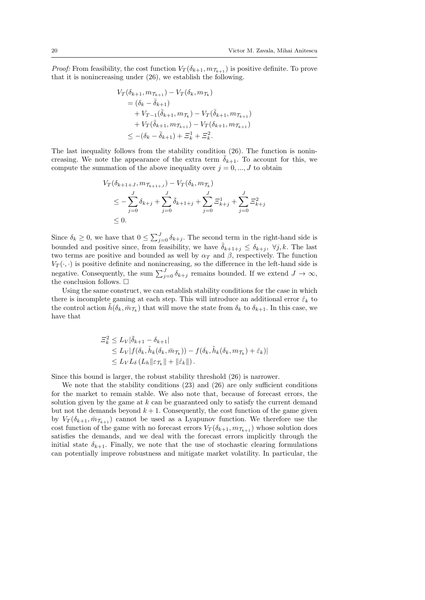*Proof:* From feasibility, the cost function  $V_T(\delta_{k+1}, m_{\mathcal{T}_{k+1}})$  is positive definite. To prove that it is nonincreasing under (26), we establish the following.

$$
V_T(\delta_{k+1}, m_{\mathcal{T}_{k+1}}) - V_T(\delta_k, m_{\mathcal{T}_k})
$$
  
=  $(\delta_k - \bar{\delta}_{k+1})$   
+  $V_{T-1}(\bar{\delta}_{k+1}, m_{\mathcal{T}_k}) - V_T(\bar{\delta}_{k+1}, m_{\mathcal{T}_{k+1}})$   
+  $V_T(\bar{\delta}_{k+1}, m_{\mathcal{T}_{k+1}}) - V_T(\delta_{k+1}, m_{\mathcal{T}_{k+1}})$   
 $\leq -(\delta_k - \bar{\delta}_{k+1}) + \Xi_k^1 + \Xi_k^2.$ 

The last inequality follows from the stability condition (26). The function is nonincreasing. We note the appearance of the extra term  $\bar{\delta}_{k+1}$ . To account for this, we compute the summation of the above inequality over  $j = 0, \dots, J$  to obtain

$$
V_T(\delta_{k+1+J}, m_{\mathcal{T}_{k+1+J}}) - V_T(\delta_k, m_{\mathcal{T}_k})
$$
  
\n
$$
\leq -\sum_{j=0}^J \delta_{k+j} + \sum_{j=0}^J \bar{\delta}_{k+1+j} + \sum_{j=0}^J \Xi_{k+j}^1 + \sum_{j=0}^J \Xi_{k+j}^2
$$
  
\n
$$
\leq 0.
$$

Since  $\delta_k \geq 0$ , we have that  $0 \leq \sum_{j=0}^{J} \delta_{k+j}$ . The second term in the right-hand side is bounded and positive since, from feasibility, we have  $\bar{\delta}_{k+1+j} \leq \delta_{k+j}$ ,  $\forall j, k$ . The last two terms are positive and bounded as well by  $\alpha_T$  and  $\beta$ , respectively. The function  $V_T(\cdot, \cdot)$  is positive definite and nonincreasing, so the difference in the left-hand side is negative. Consequently, the sum  $\sum_{j=0}^{J} \delta_{k+j}$  remains bounded. If we extend  $J \to \infty$ , the conclusion follows.  $\square$ 

Using the same construct, we can establish stability conditions for the case in which there is incomplete gaming at each step. This will introduce an additional error  $\hat{\varepsilon}_k$  to the control action  $\tilde{h}(\delta_k, \bar{m}_{\mathcal{T}_k})$  that will move the state from  $\delta_k$  to  $\delta_{k+1}$ . In this case, we have that

$$
\begin{aligned} \n\Xi_k^2 &\le L_V |\bar{\delta}_{k+1} - \delta_{k+1}| \\ \n&\le L_V |f(\delta_k, \tilde{h}_k(\delta_k, \bar{m}_{\mathcal{T}_k})) - f(\delta_k, \tilde{h}_k(\delta_k, m_{\mathcal{T}_k}) + \hat{\varepsilon}_k)| \\ \n&\le L_V L_\delta \left( L_h \|\varepsilon_{\mathcal{T}_k}\| + \|\hat{\varepsilon}_k\|\right). \n\end{aligned}
$$

Since this bound is larger, the robust stability threshold (26) is narrower.

We note that the stability conditions  $(23)$  and  $(26)$  are only sufficient conditions for the market to remain stable. We also note that, because of forecast errors, the solution given by the game at  $k$  can be guaranteed only to satisfy the current demand but not the demands beyond  $k + 1$ . Consequently, the cost function of the game given by  $V_T(\delta_{k+1}, \bar{m}_{\mathcal{T}_{k+1}})$  cannot be used as a Lyapunov function. We therefore use the cost function of the game with no forecast errors  $V_T(\delta_{k+1}, m_{\mathcal{T}_{k+1}})$  whose solution does satisfies the demands, and we deal with the forecast errors implicitly through the initial state  $\delta_{k+1}$ . Finally, we note that the use of stochastic clearing formulations can potentially improve robustness and mitigate market volatility. In particular, the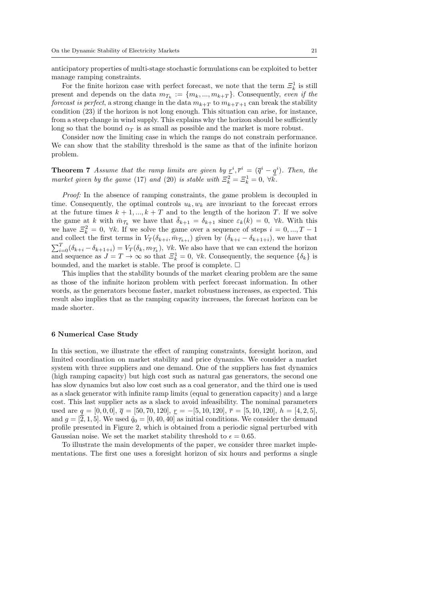anticipatory properties of multi-stage stochastic formulations can be exploited to better manage ramping constraints.

For the finite horizon case with perfect forecast, we note that the term  $\mathcal{Z}_k^1$  is still present and depends on the data  $m_{T_k} := \{m_k, ..., m_{k+T}\}\.$  Consequently, even if the forecast is perfect, a strong change in the data  $m_{k+T}$  to  $m_{k+T+1}$  can break the stability condition (23) if the horizon is not long enough. This situation can arise, for instance, from a steep change in wind supply. This explains why the horizon should be sufficiently long so that the bound  $\alpha_T$  is as small as possible and the market is more robust.

Consider now the limiting case in which the ramps do not constrain performance. We can show that the stability threshold is the same as that of the infinite horizon problem.

**Theorem 7** Assume that the ramp limits are given by  $\underline{r}^i$ ,  $\overline{r}^i = (\overline{q}^i - q^i)$ . Then, the market given by the game (17) and (20) is stable with  $\Xi_k^2 = \Xi_k^1 = 0$ ,  $\forall k$ .

Proof: In the absence of ramping constraints, the game problem is decoupled in time. Consequently, the optimal controls  $u_k, w_k$  are invariant to the forecast errors at the future times  $k + 1, ..., k + T$  and to the length of the horizon T. If we solve the game at k with  $\bar{m}_{\mathcal{T}_k}$  we have that  $\bar{\delta}_{k+1} = \delta_{k+1}$  since  $\varepsilon_k(k) = 0$ ,  $\forall k$ . With this we have  $\mathcal{Z}_k^2 = 0$ ,  $\forall k$ . If we solve the game over a sequence of steps  $i = 0, ..., T - 1$ and collect the first terms in  $V_T(\delta_{k+i}, \bar{m}_{\mathcal{T}_{k+i}})$  given by  $(\delta_{k+i} - \delta_{k+1+i})$ , we have that  $\sum_{i=0}^{T}(\delta_{k+i}-\delta_{k+1+i})=V_T(\delta_k,m_{\mathcal{T}_k}),\ \forall k.$  We also have that we can extend the horizon and sequence as  $J = T \to \infty$  so that  $\mathcal{Z}_k^1 = 0$ ,  $\forall k$ . Consequently, the sequence  $\{\delta_k\}$  is bounded, and the market is stable. The proof is complete.  $\Box$ 

This implies that the stability bounds of the market clearing problem are the same as those of the infinite horizon problem with perfect forecast information. In other words, as the generators become faster, market robustness increases, as expected. This result also implies that as the ramping capacity increases, the forecast horizon can be made shorter.

# 6 Numerical Case Study

In this section, we illustrate the effect of ramping constraints, foresight horizon, and limited coordination on market stability and price dynamics. We consider a market system with three suppliers and one demand. One of the suppliers has fast dynamics (high ramping capacity) but high cost such as natural gas generators, the second one has slow dynamics but also low cost such as a coal generator, and the third one is used as a slack generator with infinite ramp limits (equal to generation capacity) and a large cost. This last supplier acts as a slack to avoid infeasibility. The nominal parameters used are  $q = [0, 0, 0], \overline{q} = [50, 70, 120], \underline{r} = -[5, 10, 120], \overline{r} = [5, 10, 120], h = [4, 2, 5],$ and  $g = [\overline{2}, 1, 5]$ . We used  $\hat{q}_0 = [0, 40, 40]$  as initial conditions. We consider the demand profile presented in Figure 2, which is obtained from a periodic signal perturbed with Gaussian noise. We set the market stability threshold to  $\epsilon = 0.65$ .

To illustrate the main developments of the paper, we consider three market implementations. The first one uses a foresight horizon of six hours and performs a single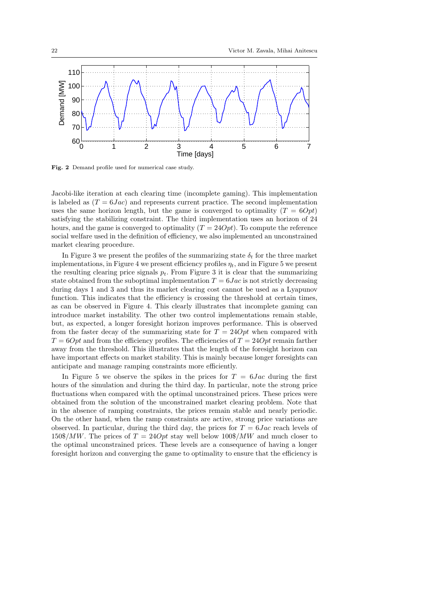

Fig. 2 Demand profile used for numerical case study.

Jacobi-like iteration at each clearing time (incomplete gaming). This implementation is labeled as  $(T = 6Jac)$  and represents current practice. The second implementation uses the same horizon length, but the game is converged to optimality  $(T = 60pt)$ satisfying the stabilizing constraint. The third implementation uses an horizon of 24 hours, and the game is converged to optimality  $(T = 24Opt)$ . To compute the reference social welfare used in the definition of efficiency, we also implemented an unconstrained market clearing procedure.

In Figure 3 we present the profiles of the summarizing state  $\delta_t$  for the three market implementations, in Figure 4 we present efficiency profiles  $\eta_t$ , and in Figure 5 we present the resulting clearing price signals  $p_t$ . From Figure 3 it is clear that the summarizing state obtained from the suboptimal implementation  $T = 6Jac$  is not strictly decreasing during days 1 and 3 and thus its market clearing cost cannot be used as a Lyapunov function. This indicates that the efficiency is crossing the threshold at certain times, as can be observed in Figure 4. This clearly illustrates that incomplete gaming can introduce market instability. The other two control implementations remain stable, but, as expected, a longer foresight horizon improves performance. This is observed from the faster decay of the summarizing state for  $T = 24Opt$  when compared with  $T = 60pt$  and from the efficiency profiles. The efficiencies of  $T = 240pt$  remain farther away from the threshold. This illustrates that the length of the foresight horizon can have important effects on market stability. This is mainly because longer foresights can anticipate and manage ramping constraints more efficiently.

In Figure 5 we observe the spikes in the prices for  $T = 6Jac$  during the first hours of the simulation and during the third day. In particular, note the strong price fluctuations when compared with the optimal unconstrained prices. These prices were obtained from the solution of the unconstrained market clearing problem. Note that in the absence of ramping constraints, the prices remain stable and nearly periodic. On the other hand, when the ramp constraints are active, strong price variations are observed. In particular, during the third day, the prices for  $T = 6Jac$  reach levels of  $150\$/MW$ . The prices of  $T = 24Opt$  stay well below  $100\$/MW$  and much closer to the optimal unconstrained prices. These levels are a consequence of having a longer foresight horizon and converging the game to optimality to ensure that the efficiency is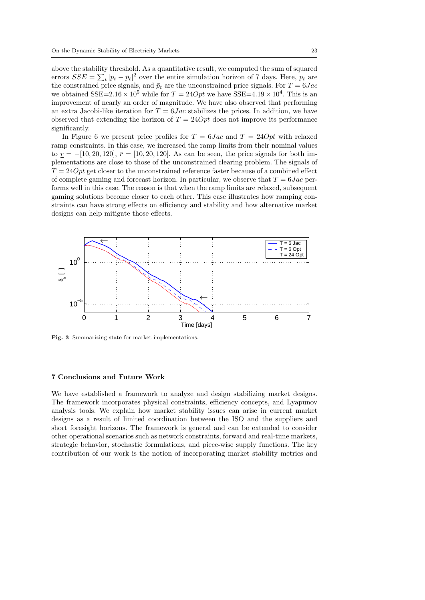above the stability threshold. As a quantitative result, we computed the sum of squared errors  $SSE = \sum_{t} |p_t - \bar{p}_t|^2$  over the entire simulation horizon of 7 days. Here,  $p_t$  are the constrained price signals, and  $\bar{p}_t$  are the unconstrained price signals. For  $T = 6Jac$ we obtained SSE=2.16  $\times$  10<sup>5</sup> while for  $T = 24Opt$  we have SSE=4.19  $\times$  10<sup>4</sup>. This is an improvement of nearly an order of magnitude. We have also observed that performing an extra Jacobi-like iteration for  $T = 6$  Jac stabilizes the prices. In addition, we have observed that extending the horizon of  $T = 24Opt$  does not improve its performance significantly.

In Figure 6 we present price profiles for  $T = 6Jac$  and  $T = 24Opt$  with relaxed ramp constraints. In this case, we increased the ramp limits from their nominal values to  $r = -[10, 20, 120], \bar{r} = [10, 20, 120].$  As can be seen, the price signals for both implementations are close to those of the unconstrained clearing problem. The signals of  $T = 24Opt$  get closer to the unconstrained reference faster because of a combined effect of complete gaming and forecast horizon. In particular, we observe that  $T = 6Jac$  performs well in this case. The reason is that when the ramp limits are relaxed, subsequent gaming solutions become closer to each other. This case illustrates how ramping constraints can have strong effects on efficiency and stability and how alternative market designs can help mitigate those effects.



Fig. 3 Summarizing state for market implementations.

# 7 Conclusions and Future Work

We have established a framework to analyze and design stabilizing market designs. The framework incorporates physical constraints, efficiency concepts, and Lyapunov analysis tools. We explain how market stability issues can arise in current market designs as a result of limited coordination between the ISO and the suppliers and short foresight horizons. The framework is general and can be extended to consider other operational scenarios such as network constraints, forward and real-time markets, strategic behavior, stochastic formulations, and piece-wise supply functions. The key contribution of our work is the notion of incorporating market stability metrics and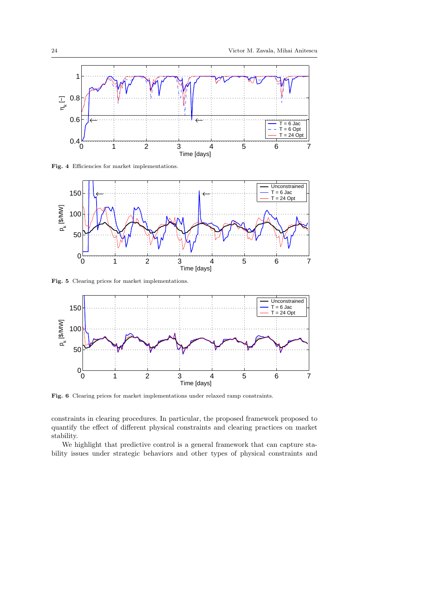

Fig. 4 Efficiencies for market implementations.



Fig. 5 Clearing prices for market implementations.



Fig. 6 Clearing prices for market implementations under relaxed ramp constraints.

constraints in clearing procedures. In particular, the proposed framework proposed to quantify the effect of different physical constraints and clearing practices on market stability.

We highlight that predictive control is a general framework that can capture stability issues under strategic behaviors and other types of physical constraints and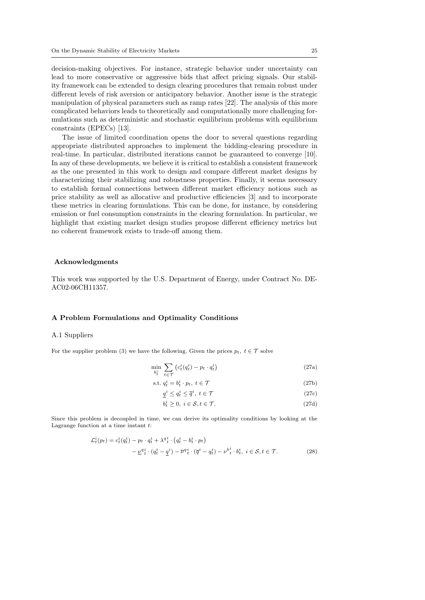decision-making objectives. For instance, strategic behavior under uncertainty can lead to more conservative or aggressive bids that affect pricing signals. Our stability framework can be extended to design clearing procedures that remain robust under different levels of risk aversion or anticipatory behavior. Another issue is the strategic manipulation of physical parameters such as ramp rates [22]. The analysis of this more complicated behaviors leads to theoretically and computationally more challenging formulations such as deterministic and stochastic equilibrium problems with equilibrium constraints (EPECs) [13].

The issue of limited coordination opens the door to several questions regarding appropriate distributed approaches to implement the bidding-clearing procedure in real-time. In particular, distributed iterations cannot be guaranteed to converge [10]. In any of these developments, we believe it is critical to establish a consistent framework as the one presented in this work to design and compare different market designs by characterizing their stabilizing and robustness properties. Finally, it seems necessary to establish formal connections between different market efficiency notions such as price stability as well as allocative and productive efficiencies [3] and to incorporate these metrics in clearing formulations. This can be done, for instance, by considering emission or fuel consumption constraints in the clearing formulation. In particular, we highlight that existing market design studies propose different efficiency metrics but no coherent framework exists to trade-off among them.

# Acknowledgments

This work was supported by the U.S. Department of Energy, under Contract No. DE-AC02-06CH11357.

### A Problem Formulations and Optimality Conditions

#### A.1 Suppliers

For the supplier problem (3) we have the following. Given the prices  $p_t$ ,  $t \in \mathcal{T}$  solve

$$
\min_{b_t^i} \sum_{t \in \mathcal{T}} \left( c_t^i(q_t^i) - p_t \cdot q_t^i \right) \tag{27a}
$$

$$
\text{s.t. } q_t^i = b_t^i \cdot p_t, \ t \in \mathcal{T} \tag{27b}
$$

$$
\underline{q}^i \le q_t^i \le \overline{q}^i, \ t \in \mathcal{T} \tag{27c}
$$

$$
b_t^i \ge 0, \ i \in \mathcal{S}, t \in \mathcal{T}.\tag{27d}
$$

Since this problem is decoupled in time, we can derive its optimality conditions by looking at the Lagrange function at a time instant  $t$ :

$$
\mathcal{L}_t^i(p_t) = c_t^i(q_t^i) - p_t \cdot q_t^i + \lambda^q_t^i \cdot (q_t^i - b_t^i \cdot p_t) \n- \underline{\nu}^q_t^i \cdot (q_t^i - \underline{q}^i) - \overline{\nu}^q_t^i \cdot (\overline{q}^i - q_t^i) - \nu^b_t^i \cdot b_t^i, \ i \in \mathcal{S}, t \in \mathcal{T}.
$$
\n(28)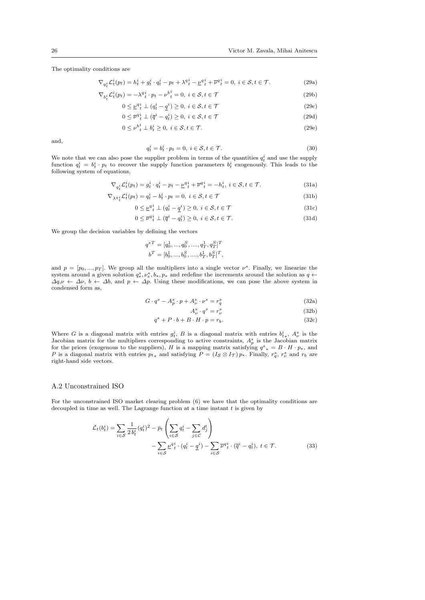The optimality conditions are

$$
\nabla_{q_t^i} \mathcal{L}_t^i(p_t) = h_t^i + g_t^i \cdot q_t^i - p_t + \lambda^q_t^i - \underline{\nu}^q_t^i + \overline{\nu}^q_t^i = 0, \ i \in \mathcal{S}, t \in \mathcal{T}.
$$
 (29a)

$$
\nabla_{b_i^i} \mathcal{L}_t^i(p_t) = -\lambda^q t \cdot p_t - \nu^b t = 0, \ i \in \mathcal{S}, t \in \mathcal{T}
$$
\n(29b)

$$
0 \le \underline{\nu}^q \,^i_t \perp (q^i_t - \underline{q}^i) \ge 0, \ i \in \mathcal{S}, t \in \mathcal{T} \tag{29c}
$$

$$
0 \le \overline{\nu}^q_t^i \perp (\overline{q}^i - q_t^i) \ge 0, \ i \in \mathcal{S}, t \in \mathcal{T}
$$
\n
$$
(29d)
$$

$$
0 \leq \nu_{t}^{b_i^i} \perp b_i^i \geq 0, \ i \in \mathcal{S}, t \in \mathcal{T}.\tag{29e}
$$

and,

$$
q_t^i = b_t^i \cdot p_t = 0, \ i \in \mathcal{S}, t \in \mathcal{T}.
$$
\n
$$
(30)
$$

We note that we can also pose the supplier problem in terms of the quantities  $q_t^i$  and use the supply function  $q_t^i = b_t^i \cdot p_t$  to recover the supply function parameters  $b_t^i$  exogenously. This leads to the following system of equations,

$$
\nabla_{q_t^i} \mathcal{L}_t^i(p_t) = g_t^i \cdot q_t^i - p_t - \underline{\nu}^{q_i} + \overline{\nu}^{q_i} = -h_t^i, \ i \in \mathcal{S}, t \in \mathcal{T}.
$$
\n(31a)

$$
\nabla_{\lambda q}{}_{t}^{i} \mathcal{L}_{t}^{i}(p_{t}) = q_{t}^{i} - b_{t}^{i} \cdot p_{t} = 0, \ i \in \mathcal{S}, t \in \mathcal{T}
$$
\n(31b)

$$
0 \leq \underline{\nu}^{q} \, \underline{i} \perp (q_t^i - \underline{q}^i) \geq 0, \ i \in \mathcal{S}, t \in \mathcal{T} \tag{31c}
$$

$$
0 \le \overline{\nu}^q_t^i \perp (\overline{q}^i - q_t^i) \ge 0, \ i \in \mathcal{S}, t \in \mathcal{T}.
$$
\n
$$
(31d)
$$

We group the decision variables by defining the vectors

$$
\begin{aligned} q^{sT} &= [q_0^1,...,q_0^S,...,q_T^1,q_T^S]^T \\ b^T &= [b_0^1,...,b_0^S,...,b_T^1,b_T^S]^T, \end{aligned}
$$

and  $p = [p_0, ..., p_T]$ . We group all the multipliers into a single vector  $\nu^s$ . Finally, we linearize the system around a given solution  $q^s_*, \nu^*_s, b_*, p_*$  and redefine the increments around the solution as  $q \leftarrow$  $\Delta q, \nu \leftarrow \Delta \nu, b \leftarrow \Delta b$ , and  $p \leftarrow \Delta p$ . Using these modifications, we can pose the above system in condensed form as,

$$
G \cdot q^s - A_p^s \cdot p + A_\nu^s \cdot \nu^s = r_q^s \tag{32a}
$$

$$
A^s_\nu \cdot q^s = r^s_\nu \tag{32b}
$$

$$
q^s + P \cdot b + B \cdot H \cdot p = r_b. \tag{32c}
$$

Where G is a diagonal matrix with entries  $g_t^i$ , B is a diagonal matrix with entries  $b_{t*}^i$ ,  $A_{\nu}^s$  is the Jacobian matrix for the multipliers corresponding to active constraints,  $A_p^s$  is the Jacobian matrix for the prices (exogenous to the suppliers), H is a mapping matrix satisfying  $q^s{}_* = B \cdot H \cdot p_*$ , and P is a diagonal matrix with entries  $p_{t*}$  and satisfying  $P = (I_{\mathcal{S}} \otimes I_{\mathcal{T}}) p_*$ . Finally,  $r_q^s$ ,  $r_\nu^s$  and  $r_b$  are right-hand side vectors.

#### A.2 Unconstrained ISO

For the unconstrained ISO market clearing problem (6) we have that the optimality conditions are decoupled in time as well. The Lagrange function at a time instant  $t$  is given by

$$
\bar{\mathcal{L}}_t(b_t^i) = \sum_{i \in \mathcal{S}} \frac{1}{2 b_t^i} (q_t^i)^2 - \bar{p}_t \left( \sum_{i \in \mathcal{S}} q_t^i - \sum_{j \in \mathcal{C}} d_j^t \right) - \sum_{i \in \mathcal{S}} \underline{\nu} q_t^i \cdot (q_t^i - \underline{q}^i) - \sum_{i \in \mathcal{S}} \overline{\nu} q_t^i \cdot (\overline{q}^i - q_t^i), \ t \in \mathcal{T}.
$$
\n(33)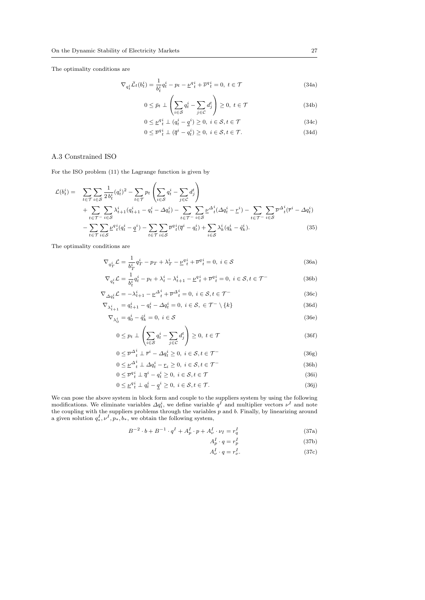The optimality conditions are

$$
\nabla_{q_t^i} \bar{\mathcal{L}}_t(b_t^i) = \frac{1}{b_t^i} q_t^i - p_t - \underline{\nu}_t^{q}_t + \overline{\nu}_t^{q}_t = 0, \ t \in \mathcal{T}
$$
\n(34a)

$$
0 \le \bar{p}_t \perp \left( \sum_{i \in \mathcal{S}} q_t^i - \sum_{j \in \mathcal{C}} d_j^t \right) \ge 0, \ t \in \mathcal{T}
$$
\n(34b)

$$
0 \le \underline{\nu}^{q} \underline{i} \perp (q^i_t - \underline{q}^i) \ge 0, \ i \in \mathcal{S}, t \in \mathcal{T}
$$
\n(34c)

$$
0 \le \overline{\nu}^{q}{}_{t}^{i} \perp (\overline{q}^{i} - q_{t}^{i}) \ge 0, \ i \in \mathcal{S}, t \in \mathcal{T}.
$$
\n
$$
(34d)
$$

# A.3 Constrained ISO

For the ISO problem (11) the Lagrange function is given by

$$
\mathcal{L}(b_t^i) = \sum_{t \in \mathcal{T}} \sum_{i \in \mathcal{S}} \frac{1}{2 b_t^i} (q_t^i)^2 - \sum_{t \in \mathcal{T}} p_t \left( \sum_{i \in \mathcal{S}} q_t^i - \sum_{j \in \mathcal{C}} d_j^t \right) + \sum_{t \in \mathcal{T}^-} \sum_{i \in \mathcal{S}} \lambda_{t+1}^i (q_{t+1}^i - q_t^i - \Delta q_t^i) - \sum_{t \in \mathcal{T}^-} \sum_{i \in \mathcal{S}} \underline{\nu}^{\Delta_t^i} (\Delta q_t^i - \underline{r}^i) - \sum_{t \in \mathcal{T}^-} \sum_{i \in \mathcal{S}} \overline{\nu}^{\Delta_t^i} (\bar{r}^i - \Delta q_t^i) - \sum_{t \in \mathcal{T}} \sum_{i \in \mathcal{S}} \underline{\nu}^q_t^i (q_t^i - \underline{q}^i) - \sum_{t \in \mathcal{T}} \sum_{i \in \mathcal{S}} \overline{\nu}^q_t^i (\overline{q}^i - q_t^i) + \sum_{i \in \mathcal{S}} \lambda_k^i (q_k^i - \hat{q}_k^i).
$$
 (35)

The optimality conditions are

$$
\nabla_{q_T^i} \mathcal{L} = \frac{1}{b_T^i} q_T^i - p_T + \lambda_T^i - \underline{\nu}^q t + \overline{\nu}^q t = 0, \ i \in \mathcal{S}
$$
\n(36a)

$$
\nabla_{q_t^i} \mathcal{L} = \frac{1}{b_t^i} q_t^i - p_t + \lambda_t^i - \lambda_{t+1}^i - \underline{\nu}_t^{q^i} + \overline{\nu}_t^{q^i} = 0, \ i \in \mathcal{S}, t \in \mathcal{T}^-
$$
 (36b)

$$
\nabla_{\Delta q_t^i} \mathcal{L} = -\lambda_{t+1}^i - \underline{\nu}^{\Delta_t^i} + \overline{\nu}^{\Delta_t^i} = 0, \ i \in \mathcal{S}, t \in \mathcal{T}^-
$$
\n
$$
\nabla \cdot \underline{\nu} = \underline{\nu}^i, \quad \underline{\nu}^i, \quad \Delta \nu^i = 0, \ i \in \mathcal{S}, \ \underline{\tau} \subset \mathcal{T}^- \setminus \{k\}
$$
\n(36c)

$$
\nabla_{\lambda_{t+1}^i} = q_{t+1}^i - q_t^i - \Delta q_t^i = 0, \ i \in \mathcal{S}, \ \in \mathcal{T}^- \setminus \{k\} \tag{36d}
$$

$$
\nabla_{\lambda_0^i} = q_0^i - \hat{q}_k^i = 0, \ i \in \mathcal{S}
$$
\n<sup>(36e)</sup>

$$
0 \le p_t \perp \left( \sum_{i \in \mathcal{S}} q_t^i - \sum_{j \in \mathcal{C}} d_j^t \right) \ge 0, \ t \in \mathcal{T}
$$
\n(36f)

$$
0 \leq \overline{\nu}^{\Delta^i}_t \perp \overline{r}^i - \Delta q^i_t \geq 0, \ i \in \mathcal{S}, t \in \mathcal{T}^-
$$
\n(36g)

$$
0 \leq \underline{\nu}^{\Delta^i_t} \perp \Delta q^i_t - \underline{r}_i \geq 0, \ i \in \mathcal{S}, t \in \mathcal{T}^-
$$
\n(36h)

$$
0 \le \overline{\nu}^q \, \frac{i}{t} \perp \overline{q}^i - q \, \frac{i}{t} \ge 0, \ i \in \mathcal{S}, t \in \mathcal{T}
$$
\n
$$
(36i)
$$
\n
$$
0 \le a^i \perp \ldots \stackrel{i}{t} \ge 0, \ i \in \mathcal{S}, t \in \mathcal{T}
$$
\n
$$
(26i)
$$

$$
0 \le \underline{\nu}^q \, \underline{i} \perp \underline{q} \, \underline{i} - \underline{q}^i \ge 0, \ i \in \mathcal{S}, t \in \mathcal{T}.\tag{36j}
$$

We can pose the above system in block form and couple to the suppliers system by using the following modifications. We eliminate variables  $\Delta q_i^i$ , we define variable  $q^I$  and multiplier vectors  $\nu^I$  and note the coupling with the suppliers problems through the variables  $p$  and  $b$ . Finally, by linearizing around a given solution  $q_*^I, \nu^I, p_*, b_*,$  we obtain the following system,

$$
B^{-2} \cdot b + B^{-1} \cdot q^I + A_p^I \cdot p + A_{\nu}^I \cdot \nu_I = r_q^I \tag{37a}
$$

$$
A_p^I \cdot q = r_p^I \tag{37b}
$$

$$
A^I_\nu \cdot q = r^I_\nu. \tag{37c}
$$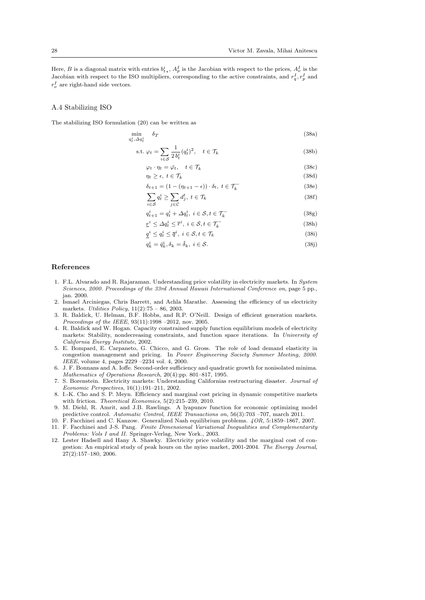Here, B is a diagonal matrix with entries  $b_{t*}^i$ ,  $A_p^I$  is the Jacobian with respect to the prices,  $A_\nu^I$  is the Jacobian with respect to the ISO multipliers, corresponding to the active constraints, and  $r_q^I, r_p^I$  and  $r_{\nu}^{I}$  are right-hand side vectors.

# A.4 Stabilizing ISO

The stabilizing ISO formulation (20) can be written as

$$
\min_{q_t^i, \Delta q_t^i} \delta_T \tag{38a}
$$

$$
\text{s.t. } \varphi_t = \sum_{i \in \mathcal{S}} \frac{1}{2 b_t^i} (q_t^i)^2, \quad t \in \mathcal{T}_k \tag{38b}
$$

$$
\varphi_t \cdot \eta_t = \bar{\varphi}_t, \quad t \in \mathcal{T}_k \tag{38c}
$$

$$
\eta_t \ge \epsilon, \ t \in \mathcal{T}_k \tag{38d}
$$

$$
\delta_{t+1} = (1 - (\eta_{t+1} - \epsilon)) \cdot \delta_t, \ t \in \mathcal{T}_k^-
$$
\n(38e)

$$
\sum_{i \in S} q_t^i \ge \sum_{j \in C} d_j^t, \ t \in \mathcal{T}_k \tag{38f}
$$

$$
q_{t+1}^i = q_t^i + \Delta q_t^i, \ i \in \mathcal{S}, t \in \mathcal{T}_k^-
$$
\n
$$
(38g)
$$

$$
\underline{r}^i \le \Delta q_t^i \le \overline{r}^i, \ i \in \mathcal{S}, t \in \mathcal{T}_k^-
$$
\n(38h)

$$
\underline{q}^i \le q_t^i \le \overline{q}^i, \ i \in \mathcal{S}, t \in \mathcal{T}_k \tag{38i}
$$

$$
q_k^i = \hat{q}_k^i, \delta_k = \hat{\delta}_k, \ i \in \mathcal{S}.\tag{38}
$$

#### References

- 1. F.L. Alvarado and R. Rajaraman. Understanding price volatility in electricity markets. In System Sciences, 2000. Proceedings of the 33rd Annual Hawaii International Conference on, page 5 pp., jan. 2000.
- 2. Ismael Arciniegas, Chris Barrett, and Achla Marathe. Assessing the efficiency of us electricity markets. Utilities Policy, 11(2):75 – 86, 2003.
- 3. R. Baldick, U. Helman, B.F. Hobbs, and R.P. O'Neill. Design of efficient generation markets. Proceedings of the IEEE, 93(11):1998 –2012, nov. 2005.
- 4. R. Baldick and W. Hogan. Capacity constrained supply function equilibrium models of electricity markets: Stability, nondecreasing constraints, and function space iterations. In University of California Energy Institute, 2002.
- 5. E. Bompard, E. Carpaneto, G. Chicco, and G. Gross. The role of load demand elasticity in congestion management and pricing. In Power Engineering Society Summer Meeting, 2000. IEEE, volume 4, pages 2229 –2234 vol. 4, 2000.
- 6. J. F. Bonnans and A. Ioffe. Second-order sufficiency and quadratic growth for nonisolated minima. Mathematics of Operations Research, 20(4):pp. 801–817, 1995.
- 7. S. Borenstein. Electricity markets: Understanding Californias restructuring disaster. Journal of Economic Perspectives, 16(1):191–211, 2002.
- 8. I.-K. Cho and S. P. Meyn. Efficiency and marginal cost pricing in dynamic competitive markets with friction. Theoretical Economics, 5(2):215–239, 2010.
- 9. M. Diehl, R. Amrit, and J.B. Rawlings. A lyapunov function for economic optimizing model predictive control. Automatic Control, IEEE Transactions on, 56(3):703 –707, march 2011.
- 10. F. Facchinei and C. Kanzow. Generalized Nash equilibrium problems. 4OR, 5:1859–1867, 2007.
- 11. F. Facchinei and J-S. Pang. Finite Dimensional Variational Inequalities and Complementarity Problems: Vols I and II. Springer-Verlag, New York., 2003.
- 12. Lester Hadsell and Hany A. Shawky. Electricity price volatility and the marginal cost of congestion: An empirical study of peak hours on the nyiso market, 2001-2004. The Energy Journal, 27(2):157–180, 2006.